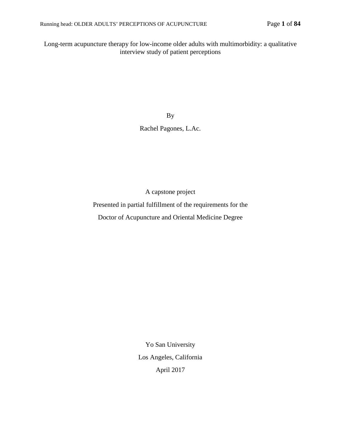Long-term acupuncture therapy for low-income older adults with multimorbidity: a qualitative interview study of patient perceptions

By

Rachel Pagones, L.Ac.

A capstone project

Presented in partial fulfillment of the requirements for the

Doctor of Acupuncture and Oriental Medicine Degree

Yo San University Los Angeles, California April 2017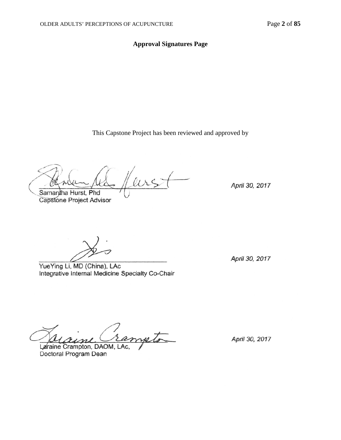# **Approval Signatures Page**

This Capstone Project has been reviewed and approved by

eirst Samantha Hurst, Phd<br>Capstone Project Advisor

April 30, 2017

 $\mathcal{D}$ 

YueYing Li, MD (China), LAc Integrative Internal Medicine Specialty Co-Chair

April 30, 2017

meto

Laraine Crampton, DAOM, LAc, Doctoral Program Dean

April 30, 2017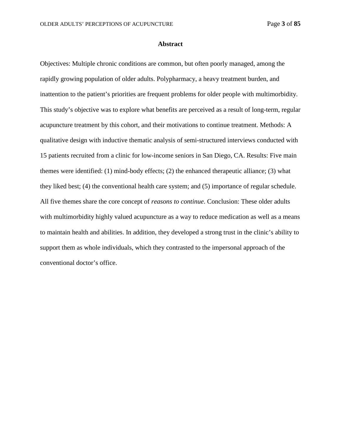#### **Abstract**

Objectives: Multiple chronic conditions are common, but often poorly managed, among the rapidly growing population of older adults. Polypharmacy, a heavy treatment burden, and inattention to the patient's priorities are frequent problems for older people with multimorbidity. This study's objective was to explore what benefits are perceived as a result of long-term, regular acupuncture treatment by this cohort, and their motivations to continue treatment. Methods: A qualitative design with inductive thematic analysis of semi-structured interviews conducted with 15 patients recruited from a clinic for low-income seniors in San Diego, CA. Results: Five main themes were identified: (1) mind-body effects; (2) the enhanced therapeutic alliance; (3) what they liked best; (4) the conventional health care system; and (5) importance of regular schedule. All five themes share the core concept of *reasons to continue*. Conclusion: These older adults with multimorbidity highly valued acupuncture as a way to reduce medication as well as a means to maintain health and abilities. In addition, they developed a strong trust in the clinic's ability to support them as whole individuals, which they contrasted to the impersonal approach of the conventional doctor's office.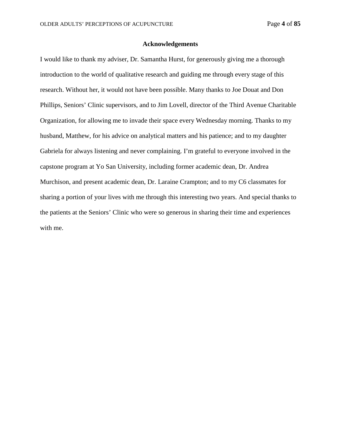### **Acknowledgements**

I would like to thank my adviser, Dr. Samantha Hurst, for generously giving me a thorough introduction to the world of qualitative research and guiding me through every stage of this research. Without her, it would not have been possible. Many thanks to Joe Douat and Don Phillips, Seniors' Clinic supervisors, and to Jim Lovell, director of the Third Avenue Charitable Organization, for allowing me to invade their space every Wednesday morning. Thanks to my husband, Matthew, for his advice on analytical matters and his patience; and to my daughter Gabriela for always listening and never complaining. I'm grateful to everyone involved in the capstone program at Yo San University, including former academic dean, Dr. Andrea Murchison, and present academic dean, Dr. Laraine Crampton; and to my C6 classmates for sharing a portion of your lives with me through this interesting two years. And special thanks to the patients at the Seniors' Clinic who were so generous in sharing their time and experiences with me.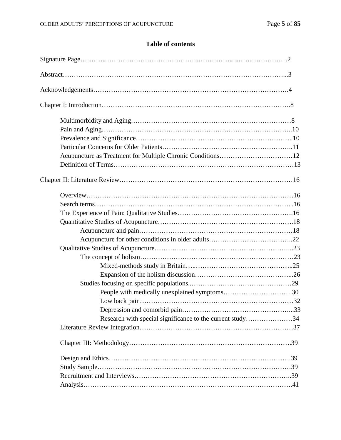# **Table of contents**

| Research with special significance to the current study34 |  |
|-----------------------------------------------------------|--|
|                                                           |  |
|                                                           |  |
|                                                           |  |
|                                                           |  |
|                                                           |  |
|                                                           |  |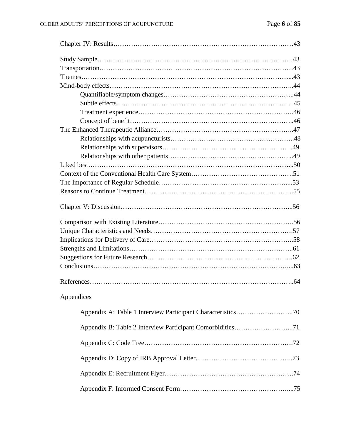| Appendices |  |
|------------|--|
|            |  |
|            |  |
|            |  |
|            |  |
|            |  |
|            |  |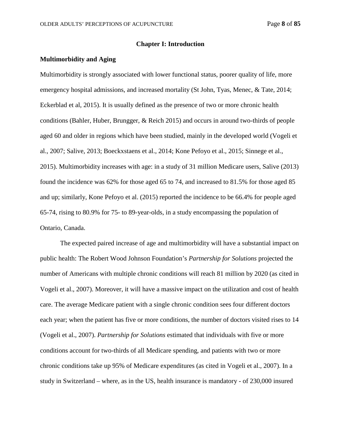### **Chapter I: Introduction**

## **Multimorbidity and Aging**

Multimorbidity is strongly associated with lower functional status, poorer quality of life, more emergency hospital admissions, and increased mortality (St John, Tyas, Menec, & Tate, 2014; Eckerblad et al, 2015). It is usually defined as the presence of two or more chronic health conditions (Bahler, Huber, Brungger, & Reich 2015) and occurs in around two-thirds of people aged 60 and older in regions which have been studied, mainly in the developed world (Vogeli et al., 2007; Salive, 2013; Boeckxstaens et al., 2014; Kone Pefoyo et al., 2015; Sinnege et al., 2015). Multimorbidity increases with age: in a study of 31 million Medicare users, Salive (2013) found the incidence was 62% for those aged 65 to 74, and increased to 81.5% for those aged 85 and up; similarly, Kone Pefoyo et al. (2015) reported the incidence to be 66.4% for people aged 65-74, rising to 80.9% for 75- to 89-year-olds, in a study encompassing the population of Ontario, Canada.

The expected paired increase of age and multimorbidity will have a substantial impact on public health: The Robert Wood Johnson Foundation's *Partnership for Solutions* projected the number of Americans with multiple chronic conditions will reach 81 million by 2020 (as cited in Vogeli et al., 2007). Moreover, it will have a massive impact on the utilization and cost of health care. The average Medicare patient with a single chronic condition sees four different doctors each year; when the patient has five or more conditions, the number of doctors visited rises to 14 (Vogeli et al., 2007). *Partnership for Solutions* estimated that individuals with five or more conditions account for two-thirds of all Medicare spending, and patients with two or more chronic conditions take up 95% of Medicare expenditures (as cited in Vogeli et al., 2007). In a study in Switzerland – where, as in the US, health insurance is mandatory - of 230,000 insured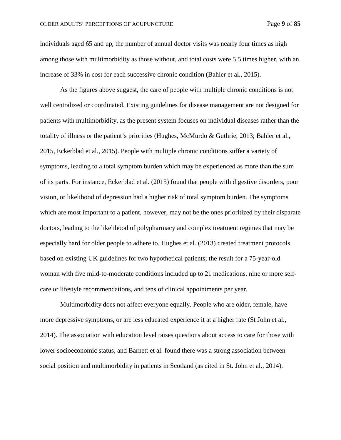individuals aged 65 and up, the number of annual doctor visits was nearly four times as high among those with multimorbidity as those without, and total costs were 5.5 times higher, with an increase of 33% in cost for each successive chronic condition (Bahler et al., 2015).

As the figures above suggest, the care of people with multiple chronic conditions is not well centralized or coordinated. Existing guidelines for disease management are not designed for patients with multimorbidity, as the present system focuses on individual diseases rather than the totality of illness or the patient's priorities (Hughes, McMurdo & Guthrie, 2013; Bahler et al., 2015, Eckerblad et al., 2015). People with multiple chronic conditions suffer a variety of symptoms, leading to a total symptom burden which may be experienced as more than the sum of its parts. For instance, Eckerblad et al. (2015) found that people with digestive disorders, poor vision, or likelihood of depression had a higher risk of total symptom burden. The symptoms which are most important to a patient, however, may not be the ones prioritized by their disparate doctors, leading to the likelihood of polypharmacy and complex treatment regimes that may be especially hard for older people to adhere to. Hughes et al. (2013) created treatment protocols based on existing UK guidelines for two hypothetical patients; the result for a 75-year-old woman with five mild-to-moderate conditions included up to 21 medications, nine or more selfcare or lifestyle recommendations, and tens of clinical appointments per year.

Multimorbidity does not affect everyone equally. People who are older, female, have more depressive symptoms, or are less educated experience it at a higher rate (St John et al., 2014). The association with education level raises questions about access to care for those with lower socioeconomic status, and Barnett et al. found there was a strong association between social position and multimorbidity in patients in Scotland (as cited in St. John et al., 2014).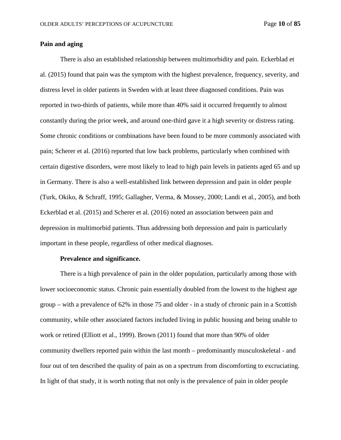# **Pain and aging**

There is also an established relationship between multimorbidity and pain. Eckerblad et al. (2015) found that pain was the symptom with the highest prevalence, frequency, severity, and distress level in older patients in Sweden with at least three diagnosed conditions. Pain was reported in two-thirds of patients, while more than 40% said it occurred frequently to almost constantly during the prior week, and around one-third gave it a high severity or distress rating. Some chronic conditions or combinations have been found to be more commonly associated with pain; Scherer et al. (2016) reported that low back problems, particularly when combined with certain digestive disorders, were most likely to lead to high pain levels in patients aged 65 and up in Germany. There is also a well-established link between depression and pain in older people (Turk, Okiko, & Schraff, 1995; Gallagher, Verma, & Mossey, 2000; Landi et al., 2005), and both Eckerblad et al. (2015) and Scherer et al. (2016) noted an association between pain and depression in multimorbid patients. Thus addressing both depression and pain is particularly important in these people, regardless of other medical diagnoses.

### **Prevalence and significance.**

There is a high prevalence of pain in the older population, particularly among those with lower socioeconomic status. Chronic pain essentially doubled from the lowest to the highest age group – with a prevalence of 62% in those 75 and older - in a study of chronic pain in a Scottish community, while other associated factors included living in public housing and being unable to work or retired (Elliott et al., 1999). Brown (2011) found that more than 90% of older community dwellers reported pain within the last month – predominantly musculoskeletal - and four out of ten described the quality of pain as on a spectrum from discomforting to excruciating. In light of that study, it is worth noting that not only is the prevalence of pain in older people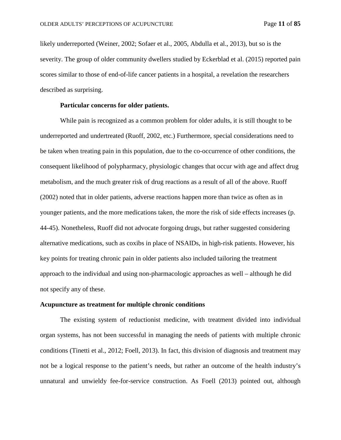likely underreported (Weiner, 2002; Sofaer et al., 2005, Abdulla et al., 2013), but so is the severity. The group of older community dwellers studied by Eckerblad et al. (2015) reported pain scores similar to those of end-of-life cancer patients in a hospital, a revelation the researchers described as surprising.

## **Particular concerns for older patients.**

While pain is recognized as a common problem for older adults, it is still thought to be underreported and undertreated (Ruoff, 2002, etc.) Furthermore, special considerations need to be taken when treating pain in this population, due to the co-occurrence of other conditions, the consequent likelihood of polypharmacy, physiologic changes that occur with age and affect drug metabolism, and the much greater risk of drug reactions as a result of all of the above. Ruoff (2002) noted that in older patients, adverse reactions happen more than twice as often as in younger patients, and the more medications taken, the more the risk of side effects increases (p. 44-45). Nonetheless, Ruoff did not advocate forgoing drugs, but rather suggested considering alternative medications, such as coxibs in place of NSAIDs, in high-risk patients. However, his key points for treating chronic pain in older patients also included tailoring the treatment approach to the individual and using non-pharmacologic approaches as well – although he did not specify any of these.

### **Acupuncture as treatment for multiple chronic conditions**

The existing system of reductionist medicine, with treatment divided into individual organ systems, has not been successful in managing the needs of patients with multiple chronic conditions (Tinetti et al., 2012; Foell, 2013). In fact, this division of diagnosis and treatment may not be a logical response to the patient's needs, but rather an outcome of the health industry's unnatural and unwieldy fee-for-service construction. As Foell (2013) pointed out, although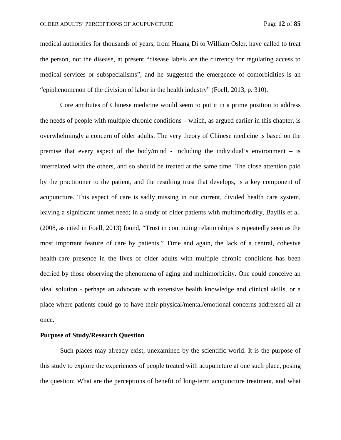medical authorities for thousands of years, from Huang Di to William Osler, have called to treat the person, not the disease, at present "disease labels are the currency for regulating access to medical services or subspecialisms", and he suggested the emergence of comorbidities is an "epiphenomenon of the division of labor in the health industry" (Foell, 2013, p. 310).

Core attributes of Chinese medicine would seem to put it in a prime position to address the needs of people with multiple chronic conditions – which, as argued earlier in this chapter, is overwhelmingly a concern of older adults. The very theory of Chinese medicine is based on the premise that every aspect of the body/mind - including the individual's environment – is interrelated with the others, and so should be treated at the same time. The close attention paid by the practitioner to the patient, and the resulting trust that develops, is a key component of acupuncture. This aspect of care is sadly missing in our current, divided health care system, leaving a significant unmet need; in a study of older patients with multimorbidity, Bayllis et al. (2008, as cited in Foell, 2013) found, "Trust in continuing relationships is repeatedly seen as the most important feature of care by patients." Time and again, the lack of a central, cohesive health-care presence in the lives of older adults with multiple chronic conditions has been decried by those observing the phenomena of aging and multimorbidity. One could conceive an ideal solution - perhaps an advocate with extensive health knowledge and clinical skills, or a place where patients could go to have their physical/mental/emotional concerns addressed all at once.

#### **Purpose of Study/Research Question**

Such places may already exist, unexamined by the scientific world. It is the purpose of this study to explore the experiences of people treated with acupuncture at one such place, posing the question: What are the perceptions of benefit of long-term acupuncture treatment, and what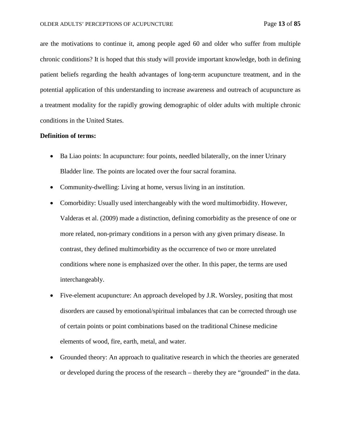are the motivations to continue it, among people aged 60 and older who suffer from multiple chronic conditions? It is hoped that this study will provide important knowledge, both in defining patient beliefs regarding the health advantages of long-term acupuncture treatment, and in the potential application of this understanding to increase awareness and outreach of acupuncture as a treatment modality for the rapidly growing demographic of older adults with multiple chronic conditions in the United States.

## **Definition of terms:**

- Ba Liao points: In acupuncture: four points, needled bilaterally, on the inner Urinary Bladder line. The points are located over the four sacral foramina.
- Community-dwelling: Living at home, versus living in an institution.
- Comorbidity: Usually used interchangeably with the word multimorbidity. However, Valderas et al. (2009) made a distinction, defining comorbidity as the presence of one or more related, non-primary conditions in a person with any given primary disease. In contrast, they defined multimorbidity as the occurrence of two or more unrelated conditions where none is emphasized over the other. In this paper, the terms are used interchangeably.
- Five-element acupuncture: An approach developed by J.R. Worsley, positing that most disorders are caused by emotional/spiritual imbalances that can be corrected through use of certain points or point combinations based on the traditional Chinese medicine elements of wood, fire, earth, metal, and water.
- Grounded theory: An approach to qualitative research in which the theories are generated or developed during the process of the research – thereby they are "grounded" in the data.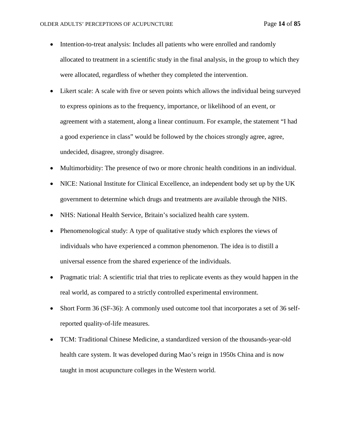- Intention-to-treat analysis: Includes all patients who were enrolled and randomly allocated to treatment in a scientific study in the final analysis, in the group to which they were allocated, regardless of whether they completed the intervention.
- Likert scale: A scale with five or seven points which allows the individual being surveyed to express opinions as to the frequency, importance, or likelihood of an event, or agreement with a statement, along a linear continuum. For example, the statement "I had a good experience in class" would be followed by the choices strongly agree, agree, undecided, disagree, strongly disagree.
- Multimorbidity: The presence of two or more chronic health conditions in an individual.
- NICE: National Institute for Clinical Excellence, an independent body set up by the UK government to determine which drugs and treatments are available through the NHS.
- NHS: National Health Service, Britain's socialized health care system.
- Phenomenological study: A type of qualitative study which explores the views of individuals who have experienced a common phenomenon. The idea is to distill a universal essence from the shared experience of the individuals.
- Pragmatic trial: A scientific trial that tries to replicate events as they would happen in the real world, as compared to a strictly controlled experimental environment.
- Short Form 36 (SF-36): A commonly used outcome tool that incorporates a set of 36 selfreported quality-of-life measures.
- TCM: Traditional Chinese Medicine, a standardized version of the thousands-year-old health care system. It was developed during Mao's reign in 1950s China and is now taught in most acupuncture colleges in the Western world.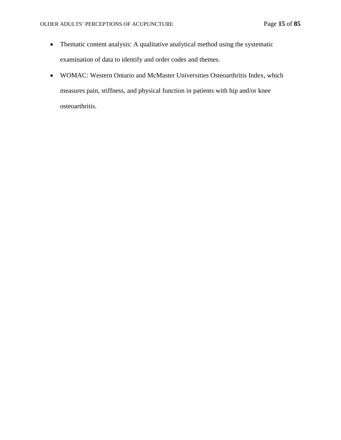- Thematic content analysis: A qualitative analytical method using the systematic examination of data to identify and order codes and themes.
- WOMAC: Western Ontario and McMaster Universities Osteoarthritis Index, which measures pain, stiffness, and physical function in patients with hip and/or knee osteoarthritis.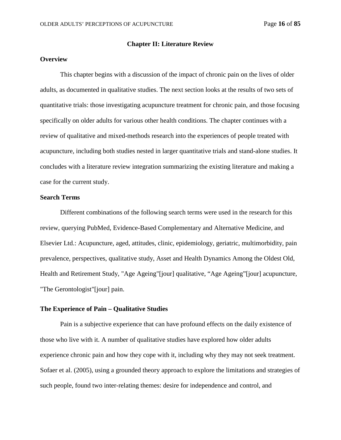### **Chapter II: Literature Review**

# **Overview**

This chapter begins with a discussion of the impact of chronic pain on the lives of older adults, as documented in qualitative studies. The next section looks at the results of two sets of quantitative trials: those investigating acupuncture treatment for chronic pain, and those focusing specifically on older adults for various other health conditions. The chapter continues with a review of qualitative and mixed-methods research into the experiences of people treated with acupuncture, including both studies nested in larger quantitative trials and stand-alone studies. It concludes with a literature review integration summarizing the existing literature and making a case for the current study.

### **Search Terms**

Different combinations of the following search terms were used in the research for this review, querying PubMed, Evidence-Based Complementary and Alternative Medicine, and Elsevier Ltd.: Acupuncture, aged, attitudes, clinic, epidemiology, geriatric, multimorbidity, pain prevalence, perspectives, qualitative study, Asset and Health Dynamics Among the Oldest Old, Health and Retirement Study, "Age Ageing"[jour] qualitative, "Age Ageing"[jour] acupuncture, "The Gerontologist"[jour] pain.

# **The Experience of Pain – Qualitative Studies**

Pain is a subjective experience that can have profound effects on the daily existence of those who live with it. A number of qualitative studies have explored how older adults experience chronic pain and how they cope with it, including why they may not seek treatment. Sofaer et al. (2005), using a grounded theory approach to explore the limitations and strategies of such people, found two inter-relating themes: desire for independence and control, and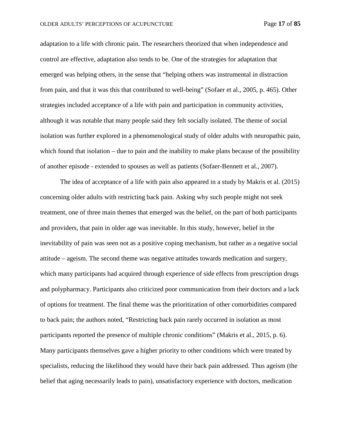adaptation to a life with chronic pain. The researchers theorized that when independence and control are effective, adaptation also tends to be. One of the strategies for adaptation that emerged was helping others, in the sense that "helping others was instrumental in distraction from pain, and that it was this that contributed to well-being" (Sofaer et al., 2005, p. 465). Other strategies included acceptance of a life with pain and participation in community activities, although it was notable that many people said they felt socially isolated. The theme of social isolation was further explored in a phenomenological study of older adults with neuropathic pain, which found that isolation – due to pain and the inability to make plans because of the possibility of another episode - extended to spouses as well as patients (Sofaer-Bennett et al., 2007).

The idea of acceptance of a life with pain also appeared in a study by Makris et al. (2015) concerning older adults with restricting back pain. Asking why such people might not seek treatment, one of three main themes that emerged was the belief, on the part of both participants and providers, that pain in older age was inevitable. In this study, however, belief in the inevitability of pain was seen not as a positive coping mechanism, but rather as a negative social attitude – ageism. The second theme was negative attitudes towards medication and surgery, which many participants had acquired through experience of side effects from prescription drugs and polypharmacy. Participants also criticized poor communication from their doctors and a lack of options for treatment. The final theme was the prioritization of other comorbidities compared to back pain; the authors noted, "Restricting back pain rarely occurred in isolation as most participants reported the presence of multiple chronic conditions" (Makris et al., 2015, p. 6). Many participants themselves gave a higher priority to other conditions which were treated by specialists, reducing the likelihood they would have their back pain addressed. Thus ageism (the belief that aging necessarily leads to pain), unsatisfactory experience with doctors, medication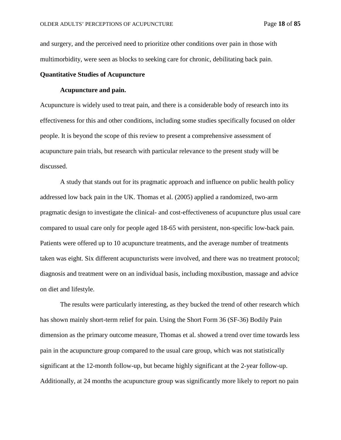and surgery, and the perceived need to prioritize other conditions over pain in those with multimorbidity, were seen as blocks to seeking care for chronic, debilitating back pain.

# **Quantitative Studies of Acupuncture**

## **Acupuncture and pain.**

Acupuncture is widely used to treat pain, and there is a considerable body of research into its effectiveness for this and other conditions, including some studies specifically focused on older people. It is beyond the scope of this review to present a comprehensive assessment of acupuncture pain trials, but research with particular relevance to the present study will be discussed.

A study that stands out for its pragmatic approach and influence on public health policy addressed low back pain in the UK. Thomas et al. (2005) applied a randomized, two-arm pragmatic design to investigate the clinical- and cost-effectiveness of acupuncture plus usual care compared to usual care only for people aged 18-65 with persistent, non-specific low-back pain. Patients were offered up to 10 acupuncture treatments, and the average number of treatments taken was eight. Six different acupuncturists were involved, and there was no treatment protocol; diagnosis and treatment were on an individual basis, including moxibustion, massage and advice on diet and lifestyle.

The results were particularly interesting, as they bucked the trend of other research which has shown mainly short-term relief for pain. Using the Short Form 36 (SF-36) Bodily Pain dimension as the primary outcome measure, Thomas et al. showed a trend over time towards less pain in the acupuncture group compared to the usual care group, which was not statistically significant at the 12-month follow-up, but became highly significant at the 2-year follow-up. Additionally, at 24 months the acupuncture group was significantly more likely to report no pain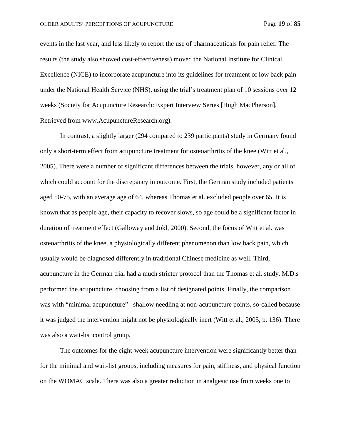events in the last year, and less likely to report the use of pharmaceuticals for pain relief. The results (the study also showed cost-effectiveness) moved the National Institute for Clinical Excellence (NICE) to incorporate acupuncture into its guidelines for treatment of low back pain under the National Health Service (NHS), using the trial's treatment plan of 10 sessions over 12 weeks (Society for Acupuncture Research: Expert Interview Series [Hugh MacPherson]*.*  Retrieved from [www.AcupunctureResearch.org\)](http://www.acupunctureresearch.org/).

In contrast, a slightly larger (294 compared to 239 participants) study in Germany found only a short-term effect from acupuncture treatment for osteoarthritis of the knee (Witt et al., 2005). There were a number of significant differences between the trials, however, any or all of which could account for the discrepancy in outcome. First, the German study included patients aged 50-75, with an average age of 64, whereas Thomas et al. excluded people over 65. It is known that as people age, their capacity to recover slows, so age could be a significant factor in duration of treatment effect (Galloway and Jokl, 2000). Second, the focus of Witt et al. was osteoarthritis of the knee, a physiologically different phenomenon than low back pain, which usually would be diagnosed differently in traditional Chinese medicine as well. Third, acupuncture in the German trial had a much stricter protocol than the Thomas et al. study. M.D.s performed the acupuncture, choosing from a list of designated points. Finally, the comparison was with "minimal acupuncture"– shallow needling at non-acupuncture points, so-called because it was judged the intervention might not be physiologically inert (Witt et al., 2005, p. 136). There was also a wait-list control group.

The outcomes for the eight-week acupuncture intervention were significantly better than for the minimal and wait-list groups, including measures for pain, stiffness, and physical function on the WOMAC scale. There was also a greater reduction in analgesic use from weeks one to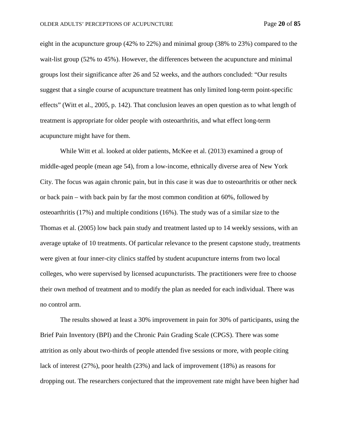eight in the acupuncture group (42% to 22%) and minimal group (38% to 23%) compared to the wait-list group (52% to 45%). However, the differences between the acupuncture and minimal groups lost their significance after 26 and 52 weeks, and the authors concluded: "Our results suggest that a single course of acupuncture treatment has only limited long-term point-specific effects" (Witt et al., 2005, p. 142). That conclusion leaves an open question as to what length of treatment is appropriate for older people with osteoarthritis, and what effect long-term acupuncture might have for them.

While Witt et al. looked at older patients, McKee et al. (2013) examined a group of middle-aged people (mean age 54), from a low-income, ethnically diverse area of New York City. The focus was again chronic pain, but in this case it was due to osteoarthritis or other neck or back pain – with back pain by far the most common condition at 60%, followed by osteoarthritis (17%) and multiple conditions (16%). The study was of a similar size to the Thomas et al. (2005) low back pain study and treatment lasted up to 14 weekly sessions, with an average uptake of 10 treatments. Of particular relevance to the present capstone study, treatments were given at four inner-city clinics staffed by student acupuncture interns from two local colleges, who were supervised by licensed acupuncturists. The practitioners were free to choose their own method of treatment and to modify the plan as needed for each individual. There was no control arm.

The results showed at least a 30% improvement in pain for 30% of participants, using the Brief Pain Inventory (BPI) and the Chronic Pain Grading Scale (CPGS). There was some attrition as only about two-thirds of people attended five sessions or more, with people citing lack of interest (27%), poor health (23%) and lack of improvement (18%) as reasons for dropping out. The researchers conjectured that the improvement rate might have been higher had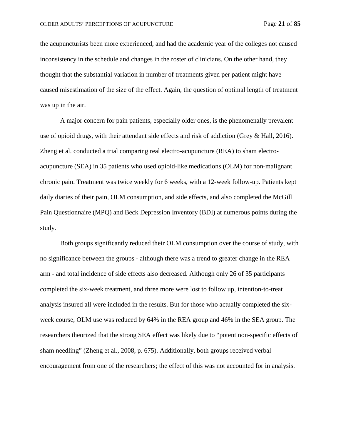the acupuncturists been more experienced, and had the academic year of the colleges not caused inconsistency in the schedule and changes in the roster of clinicians. On the other hand, they thought that the substantial variation in number of treatments given per patient might have caused misestimation of the size of the effect. Again, the question of optimal length of treatment was up in the air.

A major concern for pain patients, especially older ones, is the phenomenally prevalent use of opioid drugs, with their attendant side effects and risk of addiction (Grey & Hall, 2016). Zheng et al. conducted a trial comparing real electro-acupuncture (REA) to sham electroacupuncture (SEA) in 35 patients who used opioid-like medications (OLM) for non-malignant chronic pain. Treatment was twice weekly for 6 weeks, with a 12-week follow-up. Patients kept daily diaries of their pain, OLM consumption, and side effects, and also completed the McGill Pain Questionnaire (MPQ) and Beck Depression Inventory (BDI) at numerous points during the study.

Both groups significantly reduced their OLM consumption over the course of study, with no significance between the groups - although there was a trend to greater change in the REA arm - and total incidence of side effects also decreased. Although only 26 of 35 participants completed the six-week treatment, and three more were lost to follow up, intention-to-treat analysis insured all were included in the results. But for those who actually completed the sixweek course, OLM use was reduced by 64% in the REA group and 46% in the SEA group. The researchers theorized that the strong SEA effect was likely due to "potent non-specific effects of sham needling" (Zheng et al., 2008, p. 675). Additionally, both groups received verbal encouragement from one of the researchers; the effect of this was not accounted for in analysis.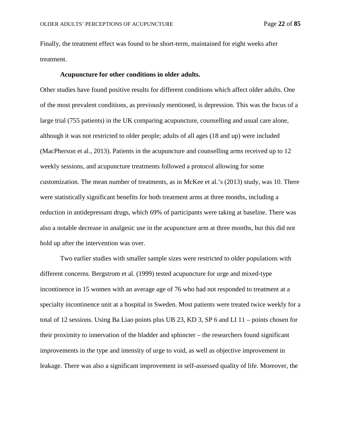Finally, the treatment effect was found to be short-term, maintained for eight weeks after treatment.

#### **Acupuncture for other conditions in older adults.**

Other studies have found positive results for different conditions which affect older adults. One of the most prevalent conditions, as previously mentioned, is depression. This was the focus of a large trial (755 patients) in the UK comparing acupuncture, counselling and usual care alone, although it was not restricted to older people; adults of all ages (18 and up) were included (MacPherson et al., 2013). Patients in the acupuncture and counselling arms received up to 12 weekly sessions, and acupuncture treatments followed a protocol allowing for some customization. The mean number of treatments, as in McKee et al.'s (2013) study, was 10. There were statistically significant benefits for both treatment arms at three months, including a reduction in antidepressant drugs, which 69% of participants were taking at baseline. There was also a notable decrease in analgesic use in the acupuncture arm at three months, but this did not hold up after the intervention was over.

Two earlier studies with smaller sample sizes were restricted to older populations with different concerns. Bergstrom et al. (1999) tested acupuncture for urge and mixed-type incontinence in 15 women with an average age of 76 who had not responded to treatment at a specialty incontinence unit at a hospital in Sweden. Most patients were treated twice weekly for a total of 12 sessions. Using Ba Liao points plus UB 23, KD 3, SP 6 and LI 11 – points chosen for their proximity to innervation of the bladder and sphincter – the researchers found significant improvements in the type and intensity of urge to void, as well as objective improvement in leakage. There was also a significant improvement in self-assessed quality of life. Moreover, the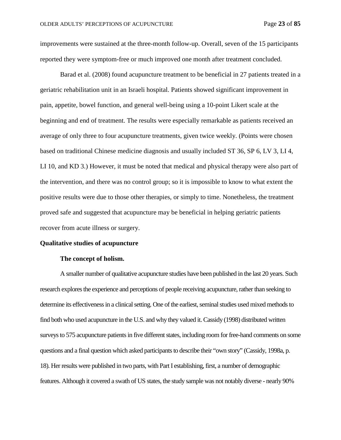improvements were sustained at the three-month follow-up. Overall, seven of the 15 participants reported they were symptom-free or much improved one month after treatment concluded.

Barad et al. (2008) found acupuncture treatment to be beneficial in 27 patients treated in a geriatric rehabilitation unit in an Israeli hospital. Patients showed significant improvement in pain, appetite, bowel function, and general well-being using a 10-point Likert scale at the beginning and end of treatment. The results were especially remarkable as patients received an average of only three to four acupuncture treatments, given twice weekly. (Points were chosen based on traditional Chinese medicine diagnosis and usually included ST 36, SP 6, LV 3, LI 4, LI 10, and KD 3.) However, it must be noted that medical and physical therapy were also part of the intervention, and there was no control group; so it is impossible to know to what extent the positive results were due to those other therapies, or simply to time. Nonetheless, the treatment proved safe and suggested that acupuncture may be beneficial in helping geriatric patients recover from acute illness or surgery.

### **Qualitative studies of acupuncture**

#### **The concept of holism.**

A smaller number of qualitative acupuncture studies have been published in the last 20 years. Such research explores the experience and perceptions of people receiving acupuncture, rather than seeking to determine its effectiveness in a clinical setting. One of the earliest, seminal studies used mixed methods to find both who used acupuncture in the U.S. and why they valued it. Cassidy (1998) distributed written surveys to 575 acupuncture patients in five different states, including room for free-hand comments on some questions and a final question which asked participants to describe their "own story" (Cassidy, 1998a, p. 18). Her results were published in two parts, with Part I establishing, first, a number of demographic features. Although it covered a swath of US states, the study sample was not notably diverse - nearly 90%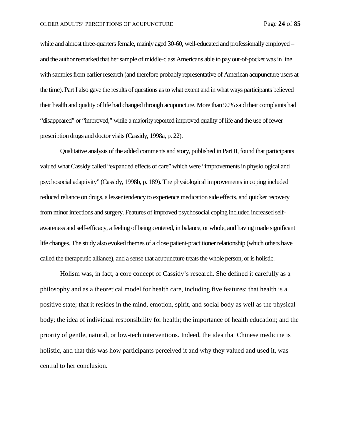white and almost three-quarters female, mainly aged 30-60, well-educated and professionally employed – and the author remarked that her sample of middle-class Americans able to pay out-of-pocket was in line with samples from earlier research (and therefore probably representative of American acupuncture users at the time). Part I also gave the results of questions as to what extent and in what ways participants believed their health and quality of life had changed through acupuncture. More than 90% said their complaints had "disappeared" or "improved," while a majority reported improved quality of life and the use of fewer prescription drugs and doctor visits(Cassidy, 1998a, p. 22).

Qualitative analysis of the added comments and story, published in Part II, found that participants valued what Cassidy called "expanded effects of care" which were "improvements in physiological and psychosocial adaptivity" (Cassidy, 1998b, p. 189). The physiological improvements in coping included reduced reliance on drugs, a lesser tendency to experience medication side effects, and quicker recovery from minor infections and surgery. Features of improved psychosocial coping included increased selfawareness and self-efficacy, a feeling of being centered, in balance, or whole, and having made significant life changes. The study also evoked themes of a close patient-practitioner relationship (which others have called the therapeutic alliance), and a sense that acupuncture treats the whole person, or is holistic.

Holism was, in fact, a core concept of Cassidy's research. She defined it carefully as a philosophy and as a theoretical model for health care, including five features: that health is a positive state; that it resides in the mind, emotion, spirit, and social body as well as the physical body; the idea of individual responsibility for health; the importance of health education; and the priority of gentle, natural, or low-tech interventions. Indeed, the idea that Chinese medicine is holistic, and that this was how participants perceived it and why they valued and used it, was central to her conclusion.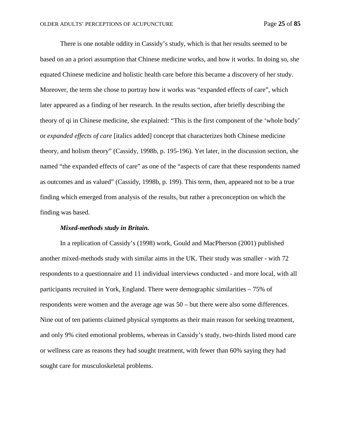There is one notable oddity in Cassidy's study, which is that her results seemed to be based on an a priori assumption that Chinese medicine works, and how it works. In doing so, she equated Chinese medicine and holistic health care before this became a discovery of her study. Moreover, the term she chose to portray how it works was "expanded effects of care", which later appeared as a finding of her research. In the results section, after briefly describing the theory of qi in Chinese medicine, she explained: "This is the first component of the 'whole body' or *expanded effects of care* [italics added] concept that characterizes both Chinese medicine theory, and holism theory" (Cassidy, 1998b, p. 195-196). Yet later, in the discussion section, she named "the expanded effects of care" as one of the "aspects of care that these respondents named as outcomes and as valued" (Cassidy, 1998b, p. 199). This term, then, appeared not to be a true finding which emerged from analysis of the results, but rather a preconception on which the finding was based.

### *Mixed-methods study in Britain.*

In a replication of Cassidy's (1998) work, Gould and MacPherson (2001) published another mixed-methods study with similar aims in the UK. Their study was smaller - with 72 respondents to a questionnaire and 11 individual interviews conducted - and more local, with all participants recruited in York, England. There were demographic similarities – 75% of respondents were women and the average age was 50 – but there were also some differences. Nine out of ten patients claimed physical symptoms as their main reason for seeking treatment, and only 9% cited emotional problems, whereas in Cassidy's study, two-thirds listed mood care or wellness care as reasons they had sought treatment, with fewer than 60% saying they had sought care for musculoskeletal problems.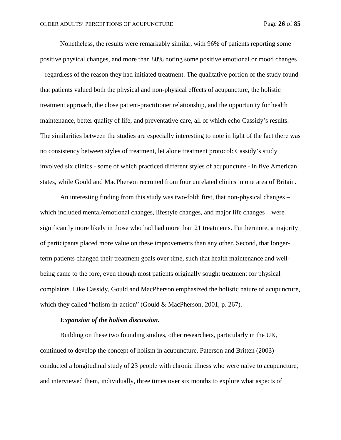Nonetheless, the results were remarkably similar, with 96% of patients reporting some positive physical changes, and more than 80% noting some positive emotional or mood changes – regardless of the reason they had initiated treatment. The qualitative portion of the study found that patients valued both the physical and non-physical effects of acupuncture, the holistic treatment approach, the close patient-practitioner relationship, and the opportunity for health maintenance, better quality of life, and preventative care, all of which echo Cassidy's results. The similarities between the studies are especially interesting to note in light of the fact there was no consistency between styles of treatment, let alone treatment protocol: Cassidy's study involved six clinics - some of which practiced different styles of acupuncture - in five American states, while Gould and MacPherson recruited from four unrelated clinics in one area of Britain.

An interesting finding from this study was two-fold: first, that non-physical changes – which included mental/emotional changes, lifestyle changes, and major life changes – were significantly more likely in those who had had more than 21 treatments. Furthermore, a majority of participants placed more value on these improvements than any other. Second, that longerterm patients changed their treatment goals over time, such that health maintenance and wellbeing came to the fore, even though most patients originally sought treatment for physical complaints. Like Cassidy, Gould and MacPherson emphasized the holistic nature of acupuncture, which they called "holism-in-action" (Gould & MacPherson, 2001, p. 267).

### *Expansion of the holism discussion.*

Building on these two founding studies, other researchers, particularly in the UK, continued to develop the concept of holism in acupuncture. Paterson and Britten (2003) conducted a longitudinal study of 23 people with chronic illness who were naïve to acupuncture, and interviewed them, individually, three times over six months to explore what aspects of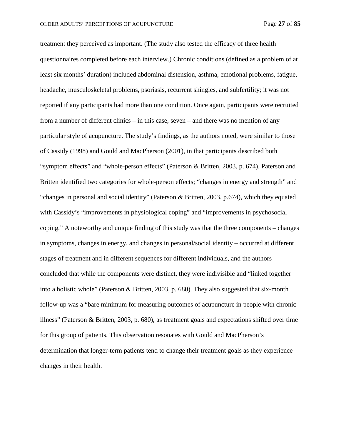treatment they perceived as important. (The study also tested the efficacy of three health questionnaires completed before each interview.) Chronic conditions (defined as a problem of at least six months' duration) included abdominal distension, asthma, emotional problems, fatigue, headache, musculoskeletal problems, psoriasis, recurrent shingles, and subfertility; it was not reported if any participants had more than one condition. Once again, participants were recruited from a number of different clinics – in this case, seven – and there was no mention of any particular style of acupuncture. The study's findings, as the authors noted, were similar to those of Cassidy (1998) and Gould and MacPherson (2001), in that participants described both "symptom effects" and "whole-person effects" (Paterson & Britten, 2003, p. 674). Paterson and Britten identified two categories for whole-person effects; "changes in energy and strength" and "changes in personal and social identity" (Paterson & Britten, 2003, p.674), which they equated with Cassidy's "improvements in physiological coping" and "improvements in psychosocial coping." A noteworthy and unique finding of this study was that the three components – changes in symptoms, changes in energy, and changes in personal/social identity – occurred at different stages of treatment and in different sequences for different individuals, and the authors concluded that while the components were distinct, they were indivisible and "linked together into a holistic whole" (Paterson & Britten, 2003, p. 680). They also suggested that six-month follow-up was a "bare minimum for measuring outcomes of acupuncture in people with chronic illness" (Paterson & Britten, 2003, p. 680), as treatment goals and expectations shifted over time for this group of patients. This observation resonates with Gould and MacPherson's determination that longer-term patients tend to change their treatment goals as they experience changes in their health.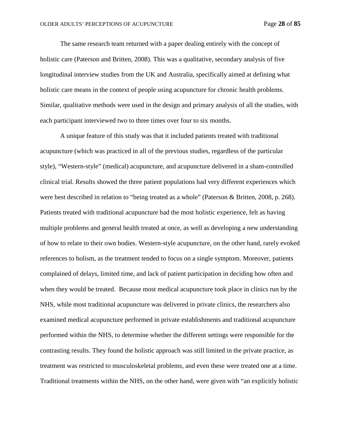The same research team returned with a paper dealing entirely with the concept of holistic care (Paterson and Britten, 2008). This was a qualitative, secondary analysis of five longitudinal interview studies from the UK and Australia, specifically aimed at defining what holistic care means in the context of people using acupuncture for chronic health problems. Similar, qualitative methods were used in the design and primary analysis of all the studies, with each participant interviewed two to three times over four to six months.

A unique feature of this study was that it included patients treated with traditional acupuncture (which was practiced in all of the previous studies, regardless of the particular style), "Western-style" (medical) acupuncture, and acupuncture delivered in a sham-controlled clinical trial. Results showed the three patient populations had very different experiences which were best described in relation to "being treated as a whole" (Paterson & Britten, 2008, p. 268). Patients treated with traditional acupuncture had the most holistic experience, felt as having multiple problems and general health treated at once, as well as developing a new understanding of how to relate to their own bodies. Western-style acupuncture, on the other hand, rarely evoked references to holism, as the treatment tended to focus on a single symptom. Moreover, patients complained of delays, limited time, and lack of patient participation in deciding how often and when they would be treated. Because most medical acupuncture took place in clinics run by the NHS, while most traditional acupuncture was delivered in private clinics, the researchers also examined medical acupuncture performed in private establishments and traditional acupuncture performed within the NHS, to determine whether the different settings were responsible for the contrasting results. They found the holistic approach was still limited in the private practice, as treatment was restricted to musculoskeletal problems, and even these were treated one at a time. Traditional treatments within the NHS, on the other hand, were given with "an explicitly holistic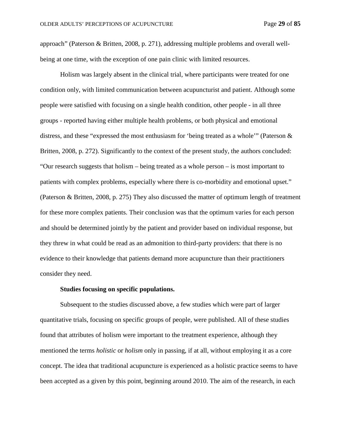approach" (Paterson & Britten, 2008, p. 271), addressing multiple problems and overall wellbeing at one time, with the exception of one pain clinic with limited resources.

Holism was largely absent in the clinical trial, where participants were treated for one condition only, with limited communication between acupuncturist and patient. Although some people were satisfied with focusing on a single health condition, other people - in all three groups - reported having either multiple health problems, or both physical and emotional distress, and these "expressed the most enthusiasm for 'being treated as a whole'" (Paterson & Britten, 2008, p. 272). Significantly to the context of the present study, the authors concluded: "Our research suggests that holism – being treated as a whole person – is most important to patients with complex problems, especially where there is co-morbidity and emotional upset." (Paterson & Britten, 2008, p. 275) They also discussed the matter of optimum length of treatment for these more complex patients. Their conclusion was that the optimum varies for each person and should be determined jointly by the patient and provider based on individual response, but they threw in what could be read as an admonition to third-party providers: that there is no evidence to their knowledge that patients demand more acupuncture than their practitioners consider they need.

## **Studies focusing on specific populations.**

Subsequent to the studies discussed above, a few studies which were part of larger quantitative trials, focusing on specific groups of people, were published. All of these studies found that attributes of holism were important to the treatment experience, although they mentioned the terms *holistic* or *holism* only in passing, if at all, without employing it as a core concept. The idea that traditional acupuncture is experienced as a holistic practice seems to have been accepted as a given by this point, beginning around 2010. The aim of the research, in each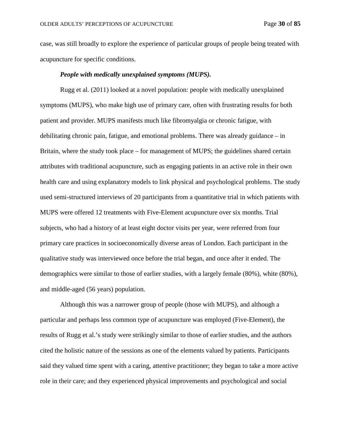case, was still broadly to explore the experience of particular groups of people being treated with acupuncture for specific conditions.

### *People with medically unexplained symptoms (MUPS).*

Rugg et al. (2011) looked at a novel population: people with medically unexplained symptoms (MUPS), who make high use of primary care, often with frustrating results for both patient and provider. MUPS manifests much like fibromyalgia or chronic fatigue, with debilitating chronic pain, fatigue, and emotional problems. There was already guidance – in Britain, where the study took place – for management of MUPS; the guidelines shared certain attributes with traditional acupuncture, such as engaging patients in an active role in their own health care and using explanatory models to link physical and psychological problems. The study used semi-structured interviews of 20 participants from a quantitative trial in which patients with MUPS were offered 12 treatments with Five-Element acupuncture over six months. Trial subjects, who had a history of at least eight doctor visits per year, were referred from four primary care practices in socioeconomically diverse areas of London. Each participant in the qualitative study was interviewed once before the trial began, and once after it ended. The demographics were similar to those of earlier studies, with a largely female (80%), white (80%), and middle-aged (56 years) population.

Although this was a narrower group of people (those with MUPS), and although a particular and perhaps less common type of acupuncture was employed (Five-Element), the results of Rugg et al.'s study were strikingly similar to those of earlier studies, and the authors cited the holistic nature of the sessions as one of the elements valued by patients. Participants said they valued time spent with a caring, attentive practitioner; they began to take a more active role in their care; and they experienced physical improvements and psychological and social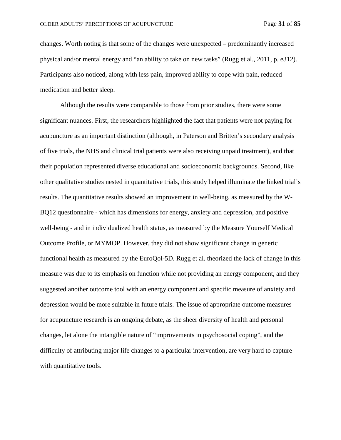changes. Worth noting is that some of the changes were unexpected – predominantly increased physical and/or mental energy and "an ability to take on new tasks" (Rugg et al., 2011, p. e312). Participants also noticed, along with less pain, improved ability to cope with pain, reduced medication and better sleep.

Although the results were comparable to those from prior studies, there were some significant nuances. First, the researchers highlighted the fact that patients were not paying for acupuncture as an important distinction (although, in Paterson and Britten's secondary analysis of five trials, the NHS and clinical trial patients were also receiving unpaid treatment), and that their population represented diverse educational and socioeconomic backgrounds. Second, like other qualitative studies nested in quantitative trials, this study helped illuminate the linked trial's results. The quantitative results showed an improvement in well-being, as measured by the W-BQ12 questionnaire - which has dimensions for energy, anxiety and depression, and positive well-being - and in individualized health status, as measured by the Measure Yourself Medical Outcome Profile, or MYMOP. However, they did not show significant change in generic functional health as measured by the EuroQol-5D. Rugg et al. theorized the lack of change in this measure was due to its emphasis on function while not providing an energy component, and they suggested another outcome tool with an energy component and specific measure of anxiety and depression would be more suitable in future trials. The issue of appropriate outcome measures for acupuncture research is an ongoing debate, as the sheer diversity of health and personal changes, let alone the intangible nature of "improvements in psychosocial coping", and the difficulty of attributing major life changes to a particular intervention, are very hard to capture with quantitative tools.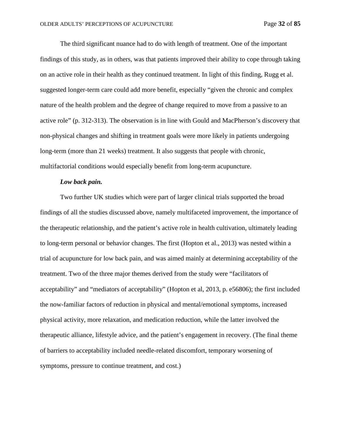The third significant nuance had to do with length of treatment. One of the important findings of this study, as in others, was that patients improved their ability to cope through taking on an active role in their health as they continued treatment. In light of this finding, Rugg et al. suggested longer-term care could add more benefit, especially "given the chronic and complex nature of the health problem and the degree of change required to move from a passive to an active role" (p. 312-313). The observation is in line with Gould and MacPherson's discovery that non-physical changes and shifting in treatment goals were more likely in patients undergoing long-term (more than 21 weeks) treatment. It also suggests that people with chronic, multifactorial conditions would especially benefit from long-term acupuncture.

### *Low back pain.*

Two further UK studies which were part of larger clinical trials supported the broad findings of all the studies discussed above, namely multifaceted improvement, the importance of the therapeutic relationship, and the patient's active role in health cultivation, ultimately leading to long-term personal or behavior changes. The first (Hopton et al., 2013) was nested within a trial of acupuncture for low back pain, and was aimed mainly at determining acceptability of the treatment. Two of the three major themes derived from the study were "facilitators of acceptability" and "mediators of acceptability" (Hopton et al, 2013, p. e56806); the first included the now-familiar factors of reduction in physical and mental/emotional symptoms, increased physical activity, more relaxation, and medication reduction, while the latter involved the therapeutic alliance, lifestyle advice, and the patient's engagement in recovery. (The final theme of barriers to acceptability included needle-related discomfort, temporary worsening of symptoms, pressure to continue treatment, and cost.)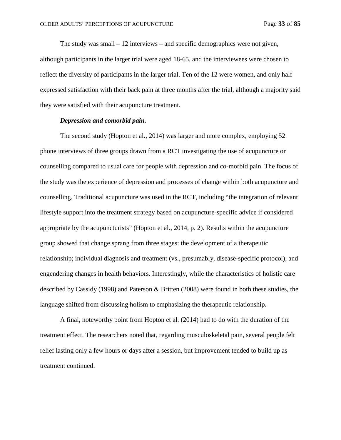The study was small  $-12$  interviews  $-$  and specific demographics were not given, although participants in the larger trial were aged 18-65, and the interviewees were chosen to reflect the diversity of participants in the larger trial. Ten of the 12 were women, and only half expressed satisfaction with their back pain at three months after the trial, although a majority said they were satisfied with their acupuncture treatment.

# *Depression and comorbid pain.*

The second study (Hopton et al., 2014) was larger and more complex, employing 52 phone interviews of three groups drawn from a RCT investigating the use of acupuncture or counselling compared to usual care for people with depression and co-morbid pain. The focus of the study was the experience of depression and processes of change within both acupuncture and counselling. Traditional acupuncture was used in the RCT, including "the integration of relevant lifestyle support into the treatment strategy based on acupuncture-specific advice if considered appropriate by the acupuncturists" (Hopton et al., 2014, p. 2). Results within the acupuncture group showed that change sprang from three stages: the development of a therapeutic relationship; individual diagnosis and treatment (vs., presumably, disease-specific protocol), and engendering changes in health behaviors. Interestingly, while the characteristics of holistic care described by Cassidy (1998) and Paterson & Britten (2008) were found in both these studies, the language shifted from discussing holism to emphasizing the therapeutic relationship.

A final, noteworthy point from Hopton et al. (2014) had to do with the duration of the treatment effect. The researchers noted that, regarding musculoskeletal pain, several people felt relief lasting only a few hours or days after a session, but improvement tended to build up as treatment continued.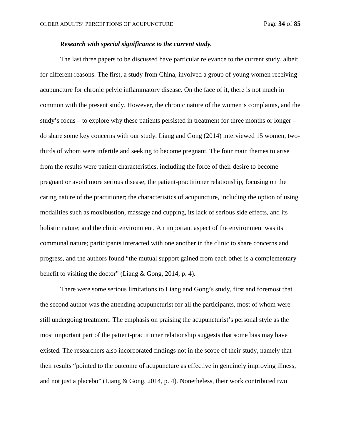# *Research with special significance to the current study.*

The last three papers to be discussed have particular relevance to the current study, albeit for different reasons. The first, a study from China, involved a group of young women receiving acupuncture for chronic pelvic inflammatory disease. On the face of it, there is not much in common with the present study. However, the chronic nature of the women's complaints, and the study's focus – to explore why these patients persisted in treatment for three months or longer – do share some key concerns with our study. Liang and Gong (2014) interviewed 15 women, twothirds of whom were infertile and seeking to become pregnant. The four main themes to arise from the results were patient characteristics, including the force of their desire to become pregnant or avoid more serious disease; the patient-practitioner relationship, focusing on the caring nature of the practitioner; the characteristics of acupuncture, including the option of using modalities such as moxibustion, massage and cupping, its lack of serious side effects, and its holistic nature; and the clinic environment. An important aspect of the environment was its communal nature; participants interacted with one another in the clinic to share concerns and progress, and the authors found "the mutual support gained from each other is a complementary benefit to visiting the doctor" (Liang & Gong, 2014, p. 4).

There were some serious limitations to Liang and Gong's study, first and foremost that the second author was the attending acupuncturist for all the participants, most of whom were still undergoing treatment. The emphasis on praising the acupuncturist's personal style as the most important part of the patient-practitioner relationship suggests that some bias may have existed. The researchers also incorporated findings not in the scope of their study, namely that their results "pointed to the outcome of acupuncture as effective in genuinely improving illness, and not just a placebo" (Liang & Gong, 2014, p. 4). Nonetheless, their work contributed two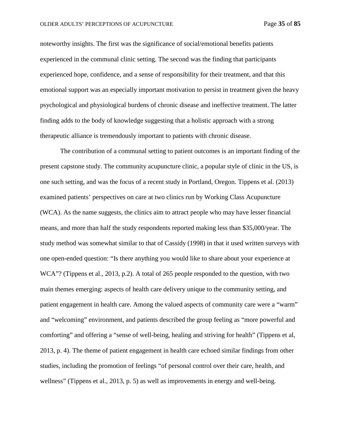noteworthy insights. The first was the significance of social/emotional benefits patients experienced in the communal clinic setting. The second was the finding that participants experienced hope, confidence, and a sense of responsibility for their treatment, and that this emotional support was an especially important motivation to persist in treatment given the heavy psychological and physiological burdens of chronic disease and ineffective treatment. The latter finding adds to the body of knowledge suggesting that a holistic approach with a strong therapeutic alliance is tremendously important to patients with chronic disease.

The contribution of a communal setting to patient outcomes is an important finding of the present capstone study. The community acupuncture clinic, a popular style of clinic in the US, is one such setting, and was the focus of a recent study in Portland, Oregon. Tippens et al. (2013) examined patients' perspectives on care at two clinics run by Working Class Acupuncture (WCA). As the name suggests, the clinics aim to attract people who may have lesser financial means, and more than half the study respondents reported making less than \$35,000/year. The study method was somewhat similar to that of Cassidy (1998) in that it used written surveys with one open-ended question: "Is there anything you would like to share about your experience at WCA"? (Tippens et al., 2013, p.2). A total of 265 people responded to the question, with two main themes emerging: aspects of health care delivery unique to the community setting, and patient engagement in health care. Among the valued aspects of community care were a "warm" and "welcoming" environment, and patients described the group feeling as "more powerful and comforting" and offering a "sense of well-being, healing and striving for health" (Tippens et al, 2013, p. 4). The theme of patient engagement in health care echoed similar findings from other studies, including the promotion of feelings "of personal control over their care, health, and wellness" (Tippens et al., 2013, p. 5) as well as improvements in energy and well-being.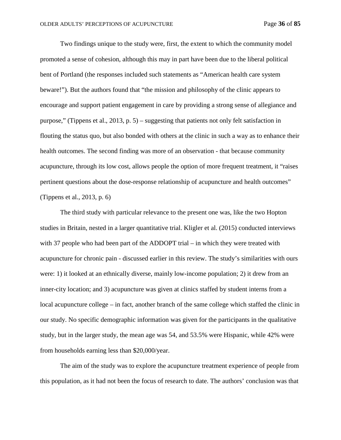Two findings unique to the study were, first, the extent to which the community model promoted a sense of cohesion, although this may in part have been due to the liberal political bent of Portland (the responses included such statements as "American health care system beware!"). But the authors found that "the mission and philosophy of the clinic appears to encourage and support patient engagement in care by providing a strong sense of allegiance and purpose," (Tippens et al., 2013, p. 5) – suggesting that patients not only felt satisfaction in flouting the status quo, but also bonded with others at the clinic in such a way as to enhance their health outcomes. The second finding was more of an observation - that because community acupuncture, through its low cost, allows people the option of more frequent treatment, it "raises pertinent questions about the dose-response relationship of acupuncture and health outcomes" (Tippens et al., 2013, p. 6)

The third study with particular relevance to the present one was, like the two Hopton studies in Britain, nested in a larger quantitative trial. Kligler et al. (2015) conducted interviews with 37 people who had been part of the ADDOPT trial – in which they were treated with acupuncture for chronic pain - discussed earlier in this review. The study's similarities with ours were: 1) it looked at an ethnically diverse, mainly low-income population; 2) it drew from an inner-city location; and 3) acupuncture was given at clinics staffed by student interns from a local acupuncture college – in fact, another branch of the same college which staffed the clinic in our study. No specific demographic information was given for the participants in the qualitative study, but in the larger study, the mean age was 54, and 53.5% were Hispanic, while 42% were from households earning less than \$20,000/year.

The aim of the study was to explore the acupuncture treatment experience of people from this population, as it had not been the focus of research to date. The authors' conclusion was that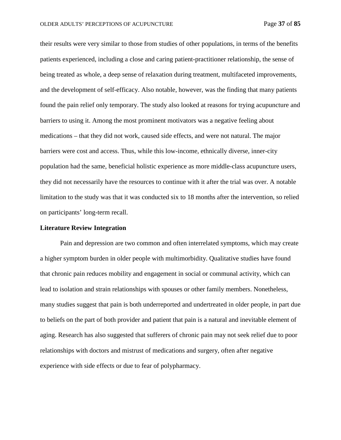their results were very similar to those from studies of other populations, in terms of the benefits patients experienced, including a close and caring patient-practitioner relationship, the sense of being treated as whole, a deep sense of relaxation during treatment, multifaceted improvements, and the development of self-efficacy. Also notable, however, was the finding that many patients found the pain relief only temporary. The study also looked at reasons for trying acupuncture and barriers to using it. Among the most prominent motivators was a negative feeling about medications – that they did not work, caused side effects, and were not natural. The major barriers were cost and access. Thus, while this low-income, ethnically diverse, inner-city population had the same, beneficial holistic experience as more middle-class acupuncture users, they did not necessarily have the resources to continue with it after the trial was over. A notable limitation to the study was that it was conducted six to 18 months after the intervention, so relied on participants' long-term recall.

#### **Literature Review Integration**

Pain and depression are two common and often interrelated symptoms, which may create a higher symptom burden in older people with multimorbidity. Qualitative studies have found that chronic pain reduces mobility and engagement in social or communal activity, which can lead to isolation and strain relationships with spouses or other family members. Nonetheless, many studies suggest that pain is both underreported and undertreated in older people, in part due to beliefs on the part of both provider and patient that pain is a natural and inevitable element of aging. Research has also suggested that sufferers of chronic pain may not seek relief due to poor relationships with doctors and mistrust of medications and surgery, often after negative experience with side effects or due to fear of polypharmacy.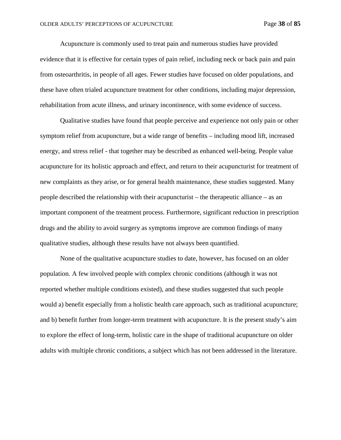Acupuncture is commonly used to treat pain and numerous studies have provided evidence that it is effective for certain types of pain relief, including neck or back pain and pain from osteoarthritis, in people of all ages. Fewer studies have focused on older populations, and these have often trialed acupuncture treatment for other conditions, including major depression, rehabilitation from acute illness, and urinary incontinence, with some evidence of success.

Qualitative studies have found that people perceive and experience not only pain or other symptom relief from acupuncture, but a wide range of benefits – including mood lift, increased energy, and stress relief - that together may be described as enhanced well-being. People value acupuncture for its holistic approach and effect, and return to their acupuncturist for treatment of new complaints as they arise, or for general health maintenance, these studies suggested. Many people described the relationship with their acupuncturist – the therapeutic alliance – as an important component of the treatment process. Furthermore, significant reduction in prescription drugs and the ability to avoid surgery as symptoms improve are common findings of many qualitative studies, although these results have not always been quantified.

None of the qualitative acupuncture studies to date, however, has focused on an older population. A few involved people with complex chronic conditions (although it was not reported whether multiple conditions existed), and these studies suggested that such people would a) benefit especially from a holistic health care approach, such as traditional acupuncture; and b) benefit further from longer-term treatment with acupuncture. It is the present study's aim to explore the effect of long-term, holistic care in the shape of traditional acupuncture on older adults with multiple chronic conditions, a subject which has not been addressed in the literature.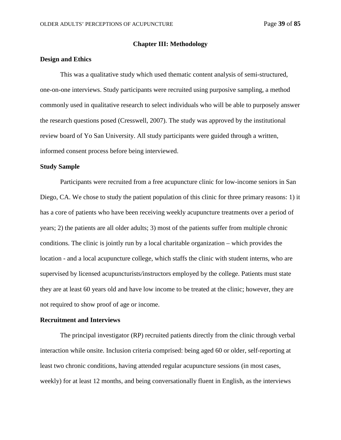### **Chapter III: Methodology**

### **Design and Ethics**

This was a qualitative study which used thematic content analysis of semi-structured, one-on-one interviews. Study participants were recruited using purposive sampling, a method commonly used in qualitative research to select individuals who will be able to purposely answer the research questions posed (Cresswell, 2007). The study was approved by the institutional review board of Yo San University. All study participants were guided through a written, informed consent process before being interviewed.

### **Study Sample**

Participants were recruited from a free acupuncture clinic for low-income seniors in San Diego, CA. We chose to study the patient population of this clinic for three primary reasons: 1) it has a core of patients who have been receiving weekly acupuncture treatments over a period of years; 2) the patients are all older adults; 3) most of the patients suffer from multiple chronic conditions. The clinic is jointly run by a local charitable organization – which provides the location - and a local acupuncture college, which staffs the clinic with student interns, who are supervised by licensed acupuncturists/instructors employed by the college. Patients must state they are at least 60 years old and have low income to be treated at the clinic; however, they are not required to show proof of age or income.

#### **Recruitment and Interviews**

The principal investigator (RP) recruited patients directly from the clinic through verbal interaction while onsite. Inclusion criteria comprised: being aged 60 or older, self-reporting at least two chronic conditions, having attended regular acupuncture sessions (in most cases, weekly) for at least 12 months, and being conversationally fluent in English, as the interviews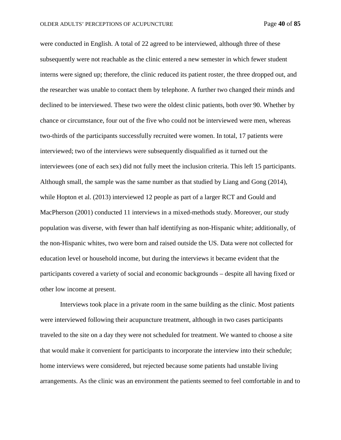were conducted in English. A total of 22 agreed to be interviewed, although three of these subsequently were not reachable as the clinic entered a new semester in which fewer student interns were signed up; therefore, the clinic reduced its patient roster, the three dropped out, and the researcher was unable to contact them by telephone. A further two changed their minds and declined to be interviewed. These two were the oldest clinic patients, both over 90. Whether by chance or circumstance, four out of the five who could not be interviewed were men, whereas two-thirds of the participants successfully recruited were women. In total, 17 patients were interviewed; two of the interviews were subsequently disqualified as it turned out the interviewees (one of each sex) did not fully meet the inclusion criteria. This left 15 participants. Although small, the sample was the same number as that studied by Liang and Gong (2014), while Hopton et al. (2013) interviewed 12 people as part of a larger RCT and Gould and MacPherson (2001) conducted 11 interviews in a mixed-methods study. Moreover, our study population was diverse, with fewer than half identifying as non-Hispanic white; additionally, of the non-Hispanic whites, two were born and raised outside the US. Data were not collected for education level or household income, but during the interviews it became evident that the participants covered a variety of social and economic backgrounds – despite all having fixed or other low income at present.

Interviews took place in a private room in the same building as the clinic. Most patients were interviewed following their acupuncture treatment, although in two cases participants traveled to the site on a day they were not scheduled for treatment. We wanted to choose a site that would make it convenient for participants to incorporate the interview into their schedule; home interviews were considered, but rejected because some patients had unstable living arrangements. As the clinic was an environment the patients seemed to feel comfortable in and to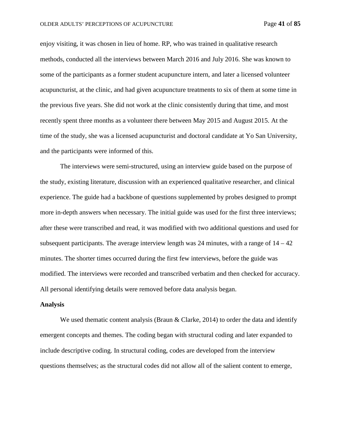enjoy visiting, it was chosen in lieu of home. RP, who was trained in qualitative research methods, conducted all the interviews between March 2016 and July 2016. She was known to some of the participants as a former student acupuncture intern, and later a licensed volunteer acupuncturist, at the clinic, and had given acupuncture treatments to six of them at some time in the previous five years. She did not work at the clinic consistently during that time, and most recently spent three months as a volunteer there between May 2015 and August 2015. At the time of the study, she was a licensed acupuncturist and doctoral candidate at Yo San University, and the participants were informed of this.

The interviews were semi-structured, using an interview guide based on the purpose of the study, existing literature, discussion with an experienced qualitative researcher, and clinical experience. The guide had a backbone of questions supplemented by probes designed to prompt more in-depth answers when necessary. The initial guide was used for the first three interviews; after these were transcribed and read, it was modified with two additional questions and used for subsequent participants. The average interview length was 24 minutes, with a range of  $14 - 42$ minutes. The shorter times occurred during the first few interviews, before the guide was modified. The interviews were recorded and transcribed verbatim and then checked for accuracy. All personal identifying details were removed before data analysis began.

#### **Analysis**

We used thematic content analysis (Braun  $\&$  Clarke, 2014) to order the data and identify emergent concepts and themes. The coding began with structural coding and later expanded to include descriptive coding. In structural coding, codes are developed from the interview questions themselves; as the structural codes did not allow all of the salient content to emerge,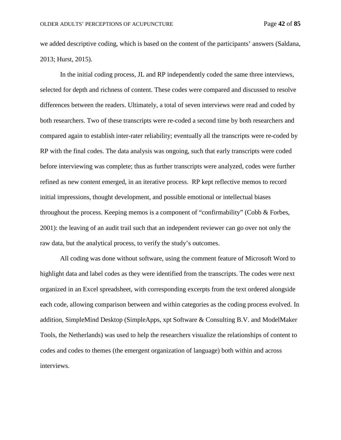we added descriptive coding, which is based on the content of the participants' answers (Saldana, 2013; Hurst, 2015).

In the initial coding process, JL and RP independently coded the same three interviews, selected for depth and richness of content. These codes were compared and discussed to resolve differences between the readers. Ultimately, a total of seven interviews were read and coded by both researchers. Two of these transcripts were re-coded a second time by both researchers and compared again to establish inter-rater reliability; eventually all the transcripts were re-coded by RP with the final codes. The data analysis was ongoing, such that early transcripts were coded before interviewing was complete; thus as further transcripts were analyzed, codes were further refined as new content emerged, in an iterative process. RP kept reflective memos to record initial impressions, thought development, and possible emotional or intellectual biases throughout the process. Keeping memos is a component of "confirmability" (Cobb & Forbes, 2001): the leaving of an audit trail such that an independent reviewer can go over not only the raw data, but the analytical process, to verify the study's outcomes.

All coding was done without software, using the comment feature of Microsoft Word to highlight data and label codes as they were identified from the transcripts. The codes were next organized in an Excel spreadsheet, with corresponding excerpts from the text ordered alongside each code, allowing comparison between and within categories as the coding process evolved. In addition, SimpleMind Desktop (SimpleApps, xpt Software & Consulting B.V. and ModelMaker Tools, the Netherlands) was used to help the researchers visualize the relationships of content to codes and codes to themes (the emergent organization of language) both within and across interviews.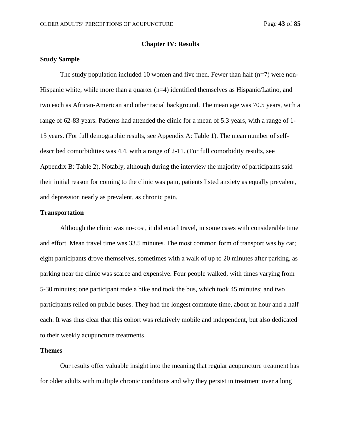### **Chapter IV: Results**

### **Study Sample**

The study population included 10 women and five men. Fewer than half  $(n=7)$  were non-Hispanic white, while more than a quarter  $(n=4)$  identified themselves as Hispanic/Latino, and two each as African-American and other racial background. The mean age was 70.5 years, with a range of 62-83 years. Patients had attended the clinic for a mean of 5.3 years, with a range of 1- 15 years. (For full demographic results, see Appendix A: Table 1). The mean number of selfdescribed comorbidities was 4.4, with a range of 2-11. (For full comorbidity results, see Appendix B: Table 2). Notably, although during the interview the majority of participants said their initial reason for coming to the clinic was pain, patients listed anxiety as equally prevalent, and depression nearly as prevalent, as chronic pain.

## **Transportation**

Although the clinic was no-cost, it did entail travel, in some cases with considerable time and effort. Mean travel time was 33.5 minutes. The most common form of transport was by car; eight participants drove themselves, sometimes with a walk of up to 20 minutes after parking, as parking near the clinic was scarce and expensive. Four people walked, with times varying from 5-30 minutes; one participant rode a bike and took the bus, which took 45 minutes; and two participants relied on public buses. They had the longest commute time, about an hour and a half each. It was thus clear that this cohort was relatively mobile and independent, but also dedicated to their weekly acupuncture treatments.

#### **Themes**

Our results offer valuable insight into the meaning that regular acupuncture treatment has for older adults with multiple chronic conditions and why they persist in treatment over a long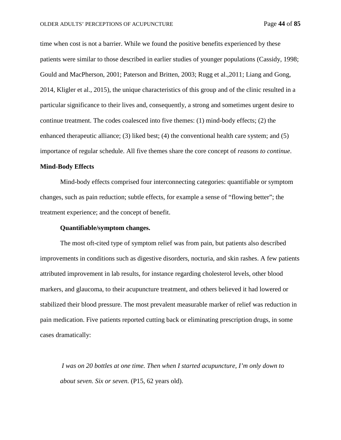time when cost is not a barrier. While we found the positive benefits experienced by these patients were similar to those described in earlier studies of younger populations (Cassidy, 1998; Gould and MacPherson, 2001; Paterson and Britten, 2003; Rugg et al.,2011; Liang and Gong, 2014, Kligler et al., 2015), the unique characteristics of this group and of the clinic resulted in a particular significance to their lives and, consequently, a strong and sometimes urgent desire to continue treatment. The codes coalesced into five themes: (1) mind-body effects; (2) the enhanced therapeutic alliance; (3) liked best; (4) the conventional health care system; and (5) importance of regular schedule. All five themes share the core concept of *reasons to continue*.

## **Mind-Body Effects**

Mind-body effects comprised four interconnecting categories: quantifiable or symptom changes, such as pain reduction; subtle effects, for example a sense of "flowing better"; the treatment experience; and the concept of benefit.

## **Quantifiable/symptom changes.**

The most oft-cited type of symptom relief was from pain, but patients also described improvements in conditions such as digestive disorders, nocturia, and skin rashes. A few patients attributed improvement in lab results, for instance regarding cholesterol levels, other blood markers, and glaucoma, to their acupuncture treatment, and others believed it had lowered or stabilized their blood pressure. The most prevalent measurable marker of relief was reduction in pain medication. Five patients reported cutting back or eliminating prescription drugs, in some cases dramatically:

*I was on 20 bottles at one time. Then when I started acupuncture, I'm only down to about seven. Six or seven.* (P15, 62 years old).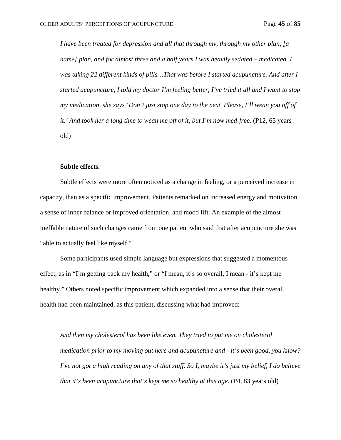*I have been treated for depression and all that through my, through my other plan, [a name] plan, and for almost three and a half years I was heavily sedated – medicated. I was taking 22 different kinds of pills…That was before I started acupuncture. And after I started acupuncture, I told my doctor I'm feeling better, I've tried it all and I want to stop my medication, she says 'Don't just stop one day to the next. Please, I'll wean you off of it.' And took her a long time to wean me off of it, but I'm now med-free.* (P12, 65 years old)

#### **Subtle effects.**

Subtle effects were more often noticed as a change in feeling, or a perceived increase in capacity, than as a specific improvement. Patients remarked on increased energy and motivation, a sense of inner balance or improved orientation, and mood lift. An example of the almost ineffable nature of such changes came from one patient who said that after acupuncture she was "able to actually feel like myself."

Some participants used simple language but expressions that suggested a momentous effect, as in "I'm getting back my health," or "I mean, it's so overall, I mean - it's kept me healthy." Others noted specific improvement which expanded into a sense that their overall health had been maintained, as this patient, discussing what had improved:

*And then my cholesterol has been like even. They tried to put me on cholesterol medication prior to my moving out here and acupuncture and - it's been good, you know? I've not got a high reading on any of that stuff. So I, maybe it's just my belief, I do believe that it's been acupuncture that's kept me so healthy at this age.* (P4, 83 years old)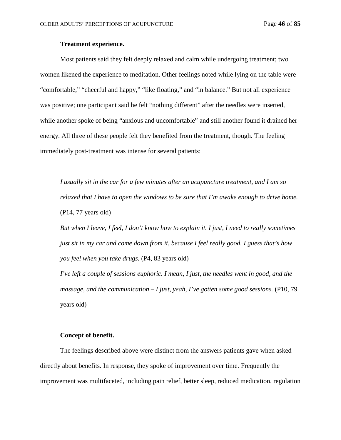# **Treatment experience.**

Most patients said they felt deeply relaxed and calm while undergoing treatment; two women likened the experience to meditation. Other feelings noted while lying on the table were "comfortable," "cheerful and happy," "like floating," and "in balance." But not all experience was positive; one participant said he felt "nothing different" after the needles were inserted, while another spoke of being "anxious and uncomfortable" and still another found it drained her energy. All three of these people felt they benefited from the treatment, though. The feeling immediately post-treatment was intense for several patients:

*I usually sit in the car for a few minutes after an acupuncture treatment, and I am so relaxed that I have to open the windows to be sure that I'm awake enough to drive home.* (P14, 77 years old)

*But when I leave, I feel, I don't know how to explain it. I just, I need to really sometimes just sit in my car and come down from it, because I feel really good. I guess that's how you feel when you take drugs.* (P4, 83 years old)

*I've left a couple of sessions euphoric. I mean, I just, the needles went in good, and the massage, and the communication – I just, yeah, I've gotten some good sessions.* (P10, 79 years old)

### **Concept of benefit.**

The feelings described above were distinct from the answers patients gave when asked directly about benefits. In response, they spoke of improvement over time. Frequently the improvement was multifaceted, including pain relief, better sleep, reduced medication, regulation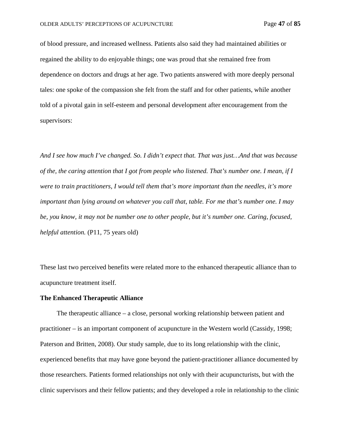of blood pressure, and increased wellness. Patients also said they had maintained abilities or regained the ability to do enjoyable things; one was proud that she remained free from dependence on doctors and drugs at her age. Two patients answered with more deeply personal tales: one spoke of the compassion she felt from the staff and for other patients, while another told of a pivotal gain in self-esteem and personal development after encouragement from the supervisors:

*And I see how much I've changed. So. I didn't expect that. That was just…And that was because of the, the caring attention that I got from people who listened. That's number one. I mean, if I were to train practitioners, I would tell them that's more important than the needles, it's more important than lying around on whatever you call that, table. For me that's number one. I may be, you know, it may not be number one to other people, but it's number one. Caring, focused, helpful attention.* (P11, 75 years old)

These last two perceived benefits were related more to the enhanced therapeutic alliance than to acupuncture treatment itself.

#### **The Enhanced Therapeutic Alliance**

 The therapeutic alliance – a close, personal working relationship between patient and practitioner – is an important component of acupuncture in the Western world (Cassidy, 1998; Paterson and Britten, 2008). Our study sample, due to its long relationship with the clinic, experienced benefits that may have gone beyond the patient-practitioner alliance documented by those researchers. Patients formed relationships not only with their acupuncturists, but with the clinic supervisors and their fellow patients; and they developed a role in relationship to the clinic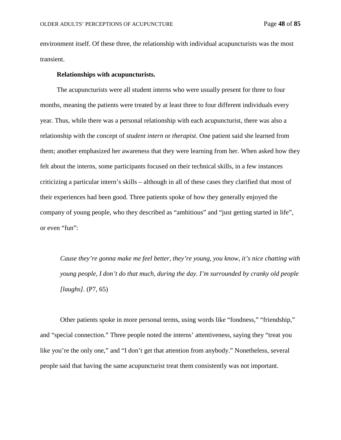environment itself. Of these three, the relationship with individual acupuncturists was the most transient.

#### **Relationships with acupuncturists.**

 The acupuncturists were all student interns who were usually present for three to four months, meaning the patients were treated by at least three to four different individuals every year. Thus, while there was a personal relationship with each acupuncturist, there was also a relationship with the concept of *student intern* or *therapist*. One patient said she learned from them; another emphasized her awareness that they were learning from her. When asked how they felt about the interns, some participants focused on their technical skills, in a few instances criticizing a particular intern's skills – although in all of these cases they clarified that most of their experiences had been good. Three patients spoke of how they generally enjoyed the company of young people, who they described as "ambitious" and "just getting started in life", or even "fun":

*Cause they're gonna make me feel better, they're young, you know, it's nice chatting with young people, I don't do that much, during the day. I'm surrounded by cranky old people [laughs].* (P7, 65)

Other patients spoke in more personal terms, using words like "fondness," "friendship," and "special connection." Three people noted the interns' attentiveness, saying they "treat you like you're the only one," and "I don't get that attention from anybody." Nonetheless, several people said that having the same acupuncturist treat them consistently was not important.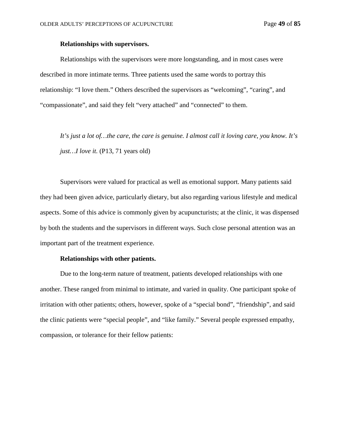## **Relationships with supervisors.**

Relationships with the supervisors were more longstanding, and in most cases were described in more intimate terms. Three patients used the same words to portray this relationship: "I love them." Others described the supervisors as "welcoming", "caring", and "compassionate", and said they felt "very attached" and "connected" to them.

*It's just a lot of…the care, the care is genuine. I almost call it loving care, you know. It's just*...*I love it.* (P13, 71 years old)

Supervisors were valued for practical as well as emotional support. Many patients said they had been given advice, particularly dietary, but also regarding various lifestyle and medical aspects. Some of this advice is commonly given by acupuncturists; at the clinic, it was dispensed by both the students and the supervisors in different ways. Such close personal attention was an important part of the treatment experience.

### **Relationships with other patients.**

Due to the long-term nature of treatment, patients developed relationships with one another. These ranged from minimal to intimate, and varied in quality. One participant spoke of irritation with other patients; others, however, spoke of a "special bond", "friendship", and said the clinic patients were "special people", and "like family." Several people expressed empathy, compassion, or tolerance for their fellow patients: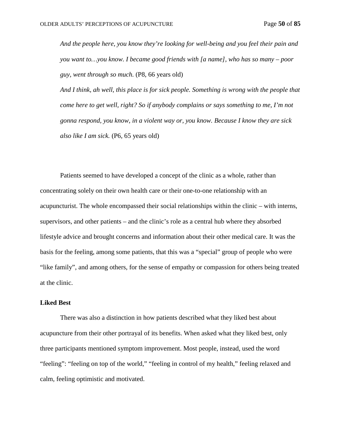*And the people here, you know they're looking for well-being and you feel their pain and you want to…you know. I became good friends with [a name], who has so many – poor guy, went through so much.* (P8, 66 years old)

*And I think, ah well, this place is for sick people. Something is wrong with the people that come here to get well, right? So if anybody complains or says something to me, I'm not gonna respond, you know, in a violent way or, you know. Because I know they are sick also like I am sick.* (P6, 65 years old)

Patients seemed to have developed a concept of the clinic as a whole, rather than concentrating solely on their own health care or their one-to-one relationship with an acupuncturist. The whole encompassed their social relationships within the clinic – with interns, supervisors, and other patients – and the clinic's role as a central hub where they absorbed lifestyle advice and brought concerns and information about their other medical care. It was the basis for the feeling, among some patients, that this was a "special" group of people who were "like family", and among others, for the sense of empathy or compassion for others being treated at the clinic.

## **Liked Best**

There was also a distinction in how patients described what they liked best about acupuncture from their other portrayal of its benefits. When asked what they liked best, only three participants mentioned symptom improvement. Most people, instead, used the word "feeling": "feeling on top of the world," "feeling in control of my health," feeling relaxed and calm, feeling optimistic and motivated.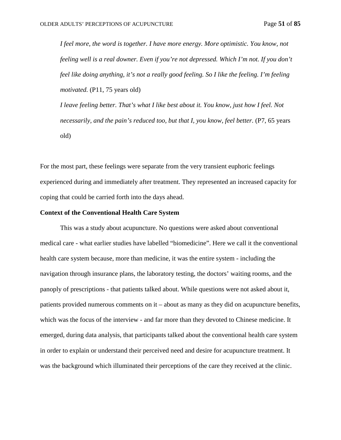*I feel more, the word is together. I have more energy. More optimistic. You know, not feeling well is a real downer. Even if you're not depressed. Which I'm not. If you don't feel like doing anything, it's not a really good feeling. So I like the feeling. I'm feeling motivated.* (P11, 75 years old)

*I leave feeling better. That's what I like best about it. You know, just how I feel. Not necessarily, and the pain's reduced too, but that I, you know, feel better.* (P7, 65 years old)

For the most part, these feelings were separate from the very transient euphoric feelings experienced during and immediately after treatment. They represented an increased capacity for coping that could be carried forth into the days ahead.

#### **Context of the Conventional Health Care System**

This was a study about acupuncture. No questions were asked about conventional medical care - what earlier studies have labelled "biomedicine". Here we call it the conventional health care system because, more than medicine, it was the entire system - including the navigation through insurance plans, the laboratory testing, the doctors' waiting rooms, and the panoply of prescriptions - that patients talked about. While questions were not asked about it, patients provided numerous comments on it – about as many as they did on acupuncture benefits, which was the focus of the interview - and far more than they devoted to Chinese medicine. It emerged, during data analysis, that participants talked about the conventional health care system in order to explain or understand their perceived need and desire for acupuncture treatment. It was the background which illuminated their perceptions of the care they received at the clinic.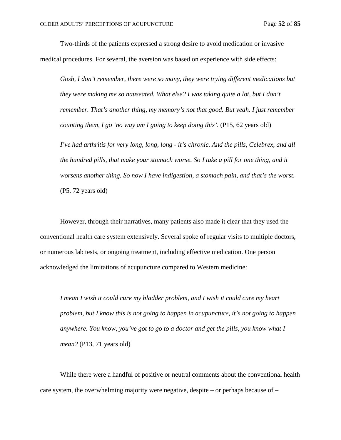Two-thirds of the patients expressed a strong desire to avoid medication or invasive medical procedures. For several, the aversion was based on experience with side effects:

*Gosh, I don't remember, there were so many, they were trying different medications but they were making me so nauseated. What else? I was taking quite a lot, but I don't remember. That's another thing, my memory's not that good. But yeah. I just remember counting them, I go 'no way am I going to keep doing this'*. (P15, 62 years old)

*I've had arthritis for very long, long, long - it's chronic. And the pills, Celebrex, and all the hundred pills, that make your stomach worse. So I take a pill for one thing, and it worsens another thing. So now I have indigestion, a stomach pain, and that's the worst.* (P5, 72 years old)

However, through their narratives, many patients also made it clear that they used the conventional health care system extensively. Several spoke of regular visits to multiple doctors, or numerous lab tests, or ongoing treatment, including effective medication. One person acknowledged the limitations of acupuncture compared to Western medicine:

*I mean I wish it could cure my bladder problem, and I wish it could cure my heart problem, but I know this is not going to happen in acupuncture, it's not going to happen anywhere. You know, you've got to go to a doctor and get the pills, you know what I mean?* (P13, 71 years old)

While there were a handful of positive or neutral comments about the conventional health care system, the overwhelming majority were negative, despite – or perhaps because of –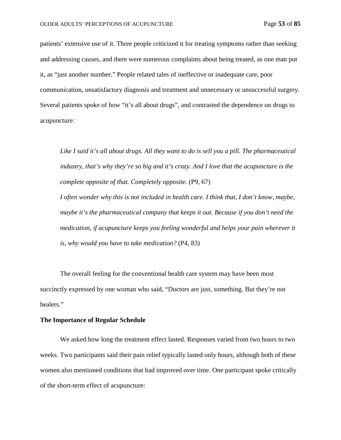patients' extensive use of it. Three people criticized it for treating symptoms rather than seeking and addressing causes, and there were numerous complaints about being treated, as one man put it, as "just another number." People related tales of ineffective or inadequate care, poor communication, unsatisfactory diagnosis and treatment and unnecessary or unsuccessful surgery. Several patients spoke of how "it's all about drugs", and contrasted the dependence on drugs to acupuncture:

*Like I said it's all about drugs. All they want to do is sell you a pill. The pharmaceutical industry, that's why they're so big and it's crazy. And I love that the acupuncture is the complete opposite of that. Completely opposite.* (P9, 67)

*I often wonder why this is not included in health care. I think that, I don't know, maybe, maybe it's the pharmaceutical company that keeps it out. Because if you don't need the medication, if acupuncture keeps you feeling wonderful and helps your pain wherever it is, why would you have to take medication?* (P4, 83)

The overall feeling for the conventional health care system may have been most succinctly expressed by one woman who said, "Doctors are just, something. But they're not healers."

#### **The Importance of Regular Schedule**

We asked how long the treatment effect lasted. Responses varied from two hours to two weeks. Two participants said their pain relief typically lasted only hours, although both of these women also mentioned conditions that had improved over time. One participant spoke critically of the short-term effect of acupuncture: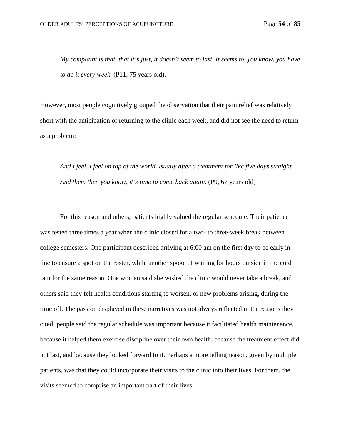*My complaint is that, that it's just, it doesn't seem to last. It seems to, you know, you have to do it every week.* (P11, 75 years old).

However, most people cognitively grouped the observation that their pain relief was relatively short with the anticipation of returning to the clinic each week, and did not see the need to return as a problem:

*And I feel, I feel on top of the world usually after a treatment for like five days straight. And then, then you know, it's time to come back again.* (P9, 67 years old)

For this reason and others, patients highly valued the regular schedule. Their patience was tested three times a year when the clinic closed for a two- to three-week break between college semesters. One participant described arriving at 6:00 am on the first day to be early in line to ensure a spot on the roster, while another spoke of waiting for hours outside in the cold rain for the same reason. One woman said she wished the clinic would never take a break, and others said they felt health conditions starting to worsen, or new problems arising, during the time off. The passion displayed in these narratives was not always reflected in the reasons they cited: people said the regular schedule was important because it facilitated health maintenance, because it helped them exercise discipline over their own health, because the treatment effect did not last, and because they looked forward to it. Perhaps a more telling reason, given by multiple patients, was that they could incorporate their visits to the clinic into their lives. For them, the visits seemed to comprise an important part of their lives.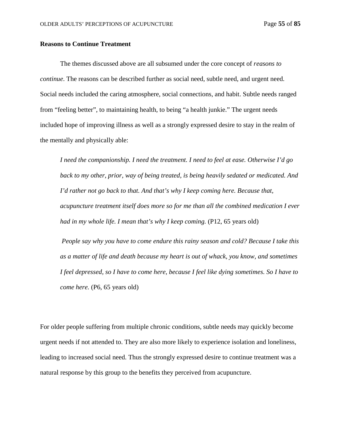## **Reasons to Continue Treatment**

The themes discussed above are all subsumed under the core concept of *reasons to continue*. The reasons can be described further as social need, subtle need, and urgent need. Social needs included the caring atmosphere, social connections, and habit. Subtle needs ranged from "feeling better", to maintaining health, to being "a health junkie." The urgent needs included hope of improving illness as well as a strongly expressed desire to stay in the realm of the mentally and physically able:

*I need the companionship. I need the treatment. I need to feel at ease. Otherwise I'd go back to my other, prior, way of being treated, is being heavily sedated or medicated. And I'd rather not go back to that. And that's why I keep coming here. Because that, acupuncture treatment itself does more so for me than all the combined medication I ever had in my whole life. I mean that's why I keep coming.* (P12, 65 years old)

*People say why you have to come endure this rainy season and cold? Because I take this as a matter of life and death because my heart is out of whack, you know, and sometimes I feel depressed, so I have to come here, because I feel like dying sometimes. So I have to come here.* (P6, 65 years old)

For older people suffering from multiple chronic conditions, subtle needs may quickly become urgent needs if not attended to. They are also more likely to experience isolation and loneliness, leading to increased social need. Thus the strongly expressed desire to continue treatment was a natural response by this group to the benefits they perceived from acupuncture.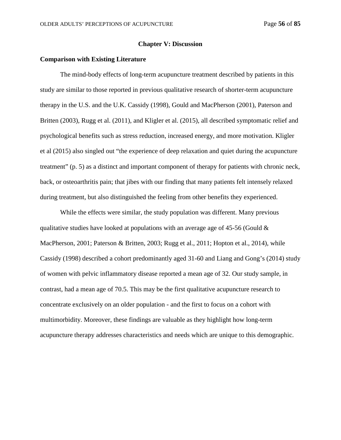#### **Chapter V: Discussion**

## **Comparison with Existing Literature**

The mind-body effects of long-term acupuncture treatment described by patients in this study are similar to those reported in previous qualitative research of shorter-term acupuncture therapy in the U.S. and the U.K. Cassidy (1998), Gould and MacPherson (2001), Paterson and Britten (2003), Rugg et al. (2011), and Kligler et al. (2015), all described symptomatic relief and psychological benefits such as stress reduction, increased energy, and more motivation. Kligler et al (2015) also singled out "the experience of deep relaxation and quiet during the acupuncture treatment" (p. 5) as a distinct and important component of therapy for patients with chronic neck, back, or osteoarthritis pain; that jibes with our finding that many patients felt intensely relaxed during treatment, but also distinguished the feeling from other benefits they experienced.

While the effects were similar, the study population was different. Many previous qualitative studies have looked at populations with an average age of 45-56 (Gould  $\&$ MacPherson, 2001; Paterson & Britten, 2003; Rugg et al., 2011; Hopton et al., 2014), while Cassidy (1998) described a cohort predominantly aged 31-60 and Liang and Gong's (2014) study of women with pelvic inflammatory disease reported a mean age of 32. Our study sample, in contrast, had a mean age of 70.5. This may be the first qualitative acupuncture research to concentrate exclusively on an older population - and the first to focus on a cohort with multimorbidity. Moreover, these findings are valuable as they highlight how long-term acupuncture therapy addresses characteristics and needs which are unique to this demographic.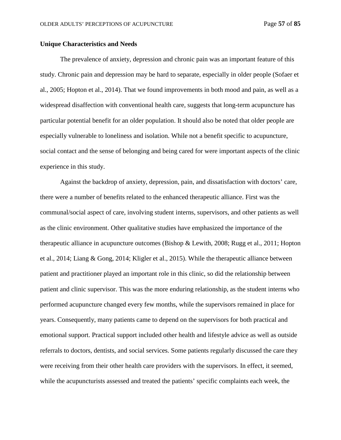## **Unique Characteristics and Needs**

The prevalence of anxiety, depression and chronic pain was an important feature of this study. Chronic pain and depression may be hard to separate, especially in older people (Sofaer et al., 2005; Hopton et al., 2014). That we found improvements in both mood and pain, as well as a widespread disaffection with conventional health care, suggests that long-term acupuncture has particular potential benefit for an older population. It should also be noted that older people are especially vulnerable to loneliness and isolation. While not a benefit specific to acupuncture, social contact and the sense of belonging and being cared for were important aspects of the clinic experience in this study.

Against the backdrop of anxiety, depression, pain, and dissatisfaction with doctors' care, there were a number of benefits related to the enhanced therapeutic alliance. First was the communal/social aspect of care, involving student interns, supervisors, and other patients as well as the clinic environment. Other qualitative studies have emphasized the importance of the therapeutic alliance in acupuncture outcomes (Bishop & Lewith, 2008; Rugg et al., 2011; Hopton et al., 2014; Liang & Gong, 2014; Kligler et al., 2015). While the therapeutic alliance between patient and practitioner played an important role in this clinic, so did the relationship between patient and clinic supervisor. This was the more enduring relationship, as the student interns who performed acupuncture changed every few months, while the supervisors remained in place for years. Consequently, many patients came to depend on the supervisors for both practical and emotional support. Practical support included other health and lifestyle advice as well as outside referrals to doctors, dentists, and social services. Some patients regularly discussed the care they were receiving from their other health care providers with the supervisors. In effect, it seemed, while the acupuncturists assessed and treated the patients' specific complaints each week, the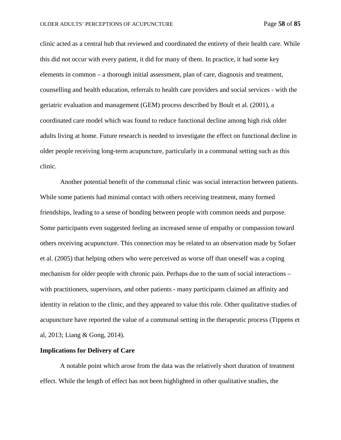clinic acted as a central hub that reviewed and coordinated the entirety of their health care. While this did not occur with every patient, it did for many of them. In practice, it had some key elements in common – a thorough initial assessment, plan of care, diagnosis and treatment, counselling and health education, referrals to health care providers and social services - with the geriatric evaluation and management (GEM) process described by Boult et al. (2001), a coordinated care model which was found to reduce functional decline among high risk older adults living at home. Future research is needed to investigate the effect on functional decline in older people receiving long-term acupuncture, particularly in a communal setting such as this clinic.

Another potential benefit of the communal clinic was social interaction between patients. While some patients had minimal contact with others receiving treatment, many formed friendships, leading to a sense of bonding between people with common needs and purpose. Some participants even suggested feeling an increased sense of empathy or compassion toward others receiving acupuncture. This connection may be related to an observation made by Sofaer et al. (2005) that helping others who were perceived as worse off than oneself was a coping mechanism for older people with chronic pain. Perhaps due to the sum of social interactions – with practitioners, supervisors, and other patients - many participants claimed an affinity and identity in relation to the clinic, and they appeared to value this role. Other qualitative studies of acupuncture have reported the value of a communal setting in the therapeutic process (Tippens et al, 2013; Liang & Gong, 2014).

## **Implications for Delivery of Care**

A notable point which arose from the data was the relatively short duration of treatment effect. While the length of effect has not been highlighted in other qualitative studies, the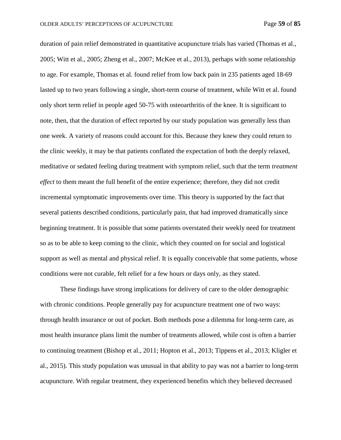duration of pain relief demonstrated in quantitative acupuncture trials has varied (Thomas et al., 2005; Witt et al., 2005; Zheng et al., 2007; McKee et al., 2013), perhaps with some relationship to age. For example, Thomas et al. found relief from low back pain in 235 patients aged 18-69 lasted up to two years following a single, short-term course of treatment, while Witt et al. found only short term relief in people aged 50-75 with osteoarthritis of the knee. It is significant to note, then, that the duration of effect reported by our study population was generally less than one week. A variety of reasons could account for this. Because they knew they could return to the clinic weekly, it may be that patients conflated the expectation of both the deeply relaxed, meditative or sedated feeling during treatment with symptom relief, such that the term *treatment effect* to them meant the full benefit of the entire experience; therefore, they did not credit incremental symptomatic improvements over time. This theory is supported by the fact that several patients described conditions, particularly pain, that had improved dramatically since beginning treatment. It is possible that some patients overstated their weekly need for treatment so as to be able to keep coming to the clinic, which they counted on for social and logistical support as well as mental and physical relief. It is equally conceivable that some patients, whose conditions were not curable, felt relief for a few hours or days only, as they stated.

These findings have strong implications for delivery of care to the older demographic with chronic conditions. People generally pay for acupuncture treatment one of two ways: through health insurance or out of pocket. Both methods pose a dilemma for long-term care, as most health insurance plans limit the number of treatments allowed, while cost is often a barrier to continuing treatment (Bishop et al., 2011; Hopton et al., 2013; Tippens et al., 2013; Kligler et al., 2015). This study population was unusual in that ability to pay was not a barrier to long-term acupuncture. With regular treatment, they experienced benefits which they believed decreased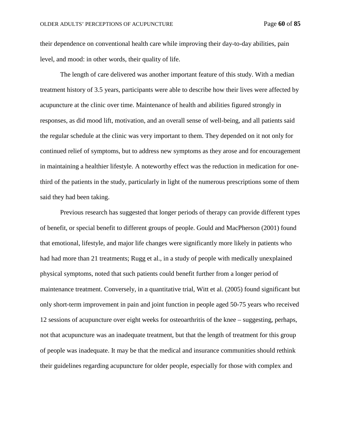their dependence on conventional health care while improving their day-to-day abilities, pain level, and mood: in other words, their quality of life.

The length of care delivered was another important feature of this study. With a median treatment history of 3.5 years, participants were able to describe how their lives were affected by acupuncture at the clinic over time. Maintenance of health and abilities figured strongly in responses, as did mood lift, motivation, and an overall sense of well-being, and all patients said the regular schedule at the clinic was very important to them. They depended on it not only for continued relief of symptoms, but to address new symptoms as they arose and for encouragement in maintaining a healthier lifestyle. A noteworthy effect was the reduction in medication for onethird of the patients in the study, particularly in light of the numerous prescriptions some of them said they had been taking.

Previous research has suggested that longer periods of therapy can provide different types of benefit, or special benefit to different groups of people. Gould and MacPherson (2001) found that emotional, lifestyle, and major life changes were significantly more likely in patients who had had more than 21 treatments; Rugg et al., in a study of people with medically unexplained physical symptoms, noted that such patients could benefit further from a longer period of maintenance treatment. Conversely, in a quantitative trial, Witt et al. (2005) found significant but only short-term improvement in pain and joint function in people aged 50-75 years who received 12 sessions of acupuncture over eight weeks for osteoarthritis of the knee – suggesting, perhaps, not that acupuncture was an inadequate treatment, but that the length of treatment for this group of people was inadequate. It may be that the medical and insurance communities should rethink their guidelines regarding acupuncture for older people, especially for those with complex and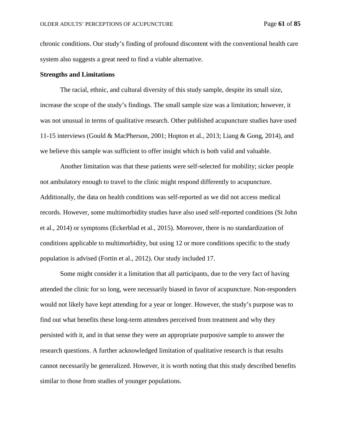chronic conditions. Our study's finding of profound discontent with the conventional health care system also suggests a great need to find a viable alternative.

## **Strengths and Limitations**

The racial, ethnic, and cultural diversity of this study sample, despite its small size, increase the scope of the study's findings. The small sample size was a limitation; however, it was not unusual in terms of qualitative research. Other published acupuncture studies have used 11-15 interviews (Gould & MacPherson, 2001; Hopton et al., 2013; Liang & Gong, 2014), and we believe this sample was sufficient to offer insight which is both valid and valuable.

Another limitation was that these patients were self-selected for mobility; sicker people not ambulatory enough to travel to the clinic might respond differently to acupuncture. Additionally, the data on health conditions was self-reported as we did not access medical records. However, some multimorbidity studies have also used self-reported conditions (St John et al., 2014) or symptoms (Eckerblad et al., 2015). Moreover, there is no standardization of conditions applicable to multimorbidity, but using 12 or more conditions specific to the study population is advised (Fortin et al., 2012). Our study included 17.

Some might consider it a limitation that all participants, due to the very fact of having attended the clinic for so long, were necessarily biased in favor of acupuncture. Non-responders would not likely have kept attending for a year or longer. However, the study's purpose was to find out what benefits these long-term attendees perceived from treatment and why they persisted with it, and in that sense they were an appropriate purposive sample to answer the research questions. A further acknowledged limitation of qualitative research is that results cannot necessarily be generalized. However, it is worth noting that this study described benefits similar to those from studies of younger populations.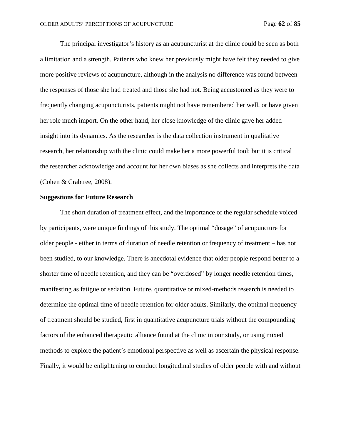The principal investigator's history as an acupuncturist at the clinic could be seen as both a limitation and a strength. Patients who knew her previously might have felt they needed to give more positive reviews of acupuncture, although in the analysis no difference was found between the responses of those she had treated and those she had not. Being accustomed as they were to frequently changing acupuncturists, patients might not have remembered her well, or have given her role much import. On the other hand, her close knowledge of the clinic gave her added insight into its dynamics. As the researcher is the data collection instrument in qualitative research, her relationship with the clinic could make her a more powerful tool; but it is critical the researcher acknowledge and account for her own biases as she collects and interprets the data (Cohen & Crabtree, 2008).

### **Suggestions for Future Research**

The short duration of treatment effect, and the importance of the regular schedule voiced by participants, were unique findings of this study. The optimal "dosage" of acupuncture for older people - either in terms of duration of needle retention or frequency of treatment – has not been studied, to our knowledge. There is anecdotal evidence that older people respond better to a shorter time of needle retention, and they can be "overdosed" by longer needle retention times, manifesting as fatigue or sedation. Future, quantitative or mixed-methods research is needed to determine the optimal time of needle retention for older adults. Similarly, the optimal frequency of treatment should be studied, first in quantitative acupuncture trials without the compounding factors of the enhanced therapeutic alliance found at the clinic in our study, or using mixed methods to explore the patient's emotional perspective as well as ascertain the physical response. Finally, it would be enlightening to conduct longitudinal studies of older people with and without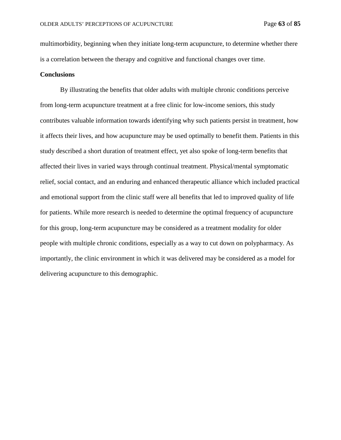multimorbidity, beginning when they initiate long-term acupuncture, to determine whether there is a correlation between the therapy and cognitive and functional changes over time.

### **Conclusions**

By illustrating the benefits that older adults with multiple chronic conditions perceive from long-term acupuncture treatment at a free clinic for low-income seniors, this study contributes valuable information towards identifying why such patients persist in treatment, how it affects their lives, and how acupuncture may be used optimally to benefit them. Patients in this study described a short duration of treatment effect, yet also spoke of long-term benefits that affected their lives in varied ways through continual treatment. Physical/mental symptomatic relief, social contact, and an enduring and enhanced therapeutic alliance which included practical and emotional support from the clinic staff were all benefits that led to improved quality of life for patients. While more research is needed to determine the optimal frequency of acupuncture for this group, long-term acupuncture may be considered as a treatment modality for older people with multiple chronic conditions, especially as a way to cut down on polypharmacy. As importantly, the clinic environment in which it was delivered may be considered as a model for delivering acupuncture to this demographic.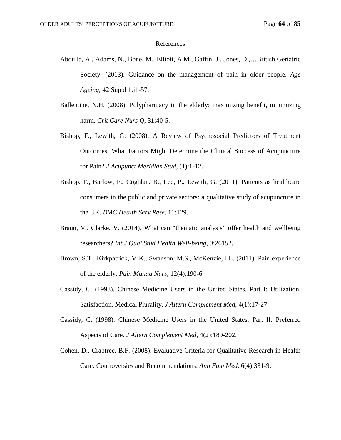#### References

- Abdulla, A., Adams, N., Bone, M., Elliott, A.M., Gaffin, J., Jones, D.,…British Geriatric Society. (2013). Guidance on the management of pain in older people. *Age Ageing*, 42 Suppl 1:i1-57.
- Ballentine, N.H. (2008). Polypharmacy in the elderly: maximizing benefit, minimizing harm. *Crit Care Nurs Q*, 31:40-5.
- Bishop, F., Lewith, G. (2008). A Review of Psychosocial Predictors of Treatment Outcomes: What Factors Might Determine the Clinical Success of Acupuncture for Pain? *J Acupunct Meridian Stud*, (1):1-12.
- Bishop, F., Barlow, F., Coghlan, B., Lee, P., Lewith, G. (2011). Patients as healthcare consumers in the public and private sectors: a qualitative study of acupuncture in the UK. *BMC Health Serv Rese*, 11:129.
- Braun, V., Clarke, V. (2014). What can "thematic analysis" offer health and wellbeing researchers? *Int J Qual Stud Health Well-being*, 9:26152.
- Brown, S.T., Kirkpatrick, M.K., Swanson, M.S., McKenzie, I.L. (2011). Pain experience of the elderly. *Pain Manag Nurs*, 12(4):190-6
- Cassidy, C. (1998). Chinese Medicine Users in the United States. Part I: Utilization, Satisfaction, Medical Plurality. *J Altern Complement Med*, 4(1):17-27.
- Cassidy, C. (1998). Chinese Medicine Users in the United States. Part II: Preferred Aspects of Care. *J Altern Complement Med*, 4(2):189-202.
- Cohen, D., Crabtree, B.F. (2008). Evaluative Criteria for Qualitative Research in Health Care: Controversies and Recommendations. *Ann Fam Med*, 6(4):331-9.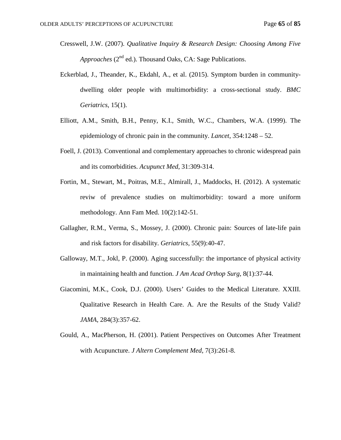- Cresswell, J.W. (2007). *Qualitative Inquiry & Research Design: Choosing Among Five Approaches* (2<sup>nd</sup> ed.). Thousand Oaks, CA: Sage Publications.
- Eckerblad, J., Theander, K., Ekdahl, A., et al. (2015). Symptom burden in communitydwelling older people with multimorbidity: a cross-sectional study. *BMC Geriatrics*, 15(1).
- [Elliott,](https://www.ncbi.nlm.nih.gov/pubmed/?term=Elliott%20AM%5BAuthor%5D&cauthor=true&cauthor_uid=10520633) A.M., [Smith, B.H.](https://www.ncbi.nlm.nih.gov/pubmed/?term=Smith%20BH%5BAuthor%5D&cauthor=true&cauthor_uid=10520633), [Penny, K.I.](https://www.ncbi.nlm.nih.gov/pubmed/?term=Penny%20KI%5BAuthor%5D&cauthor=true&cauthor_uid=10520633), [Smith, W.C.](https://www.ncbi.nlm.nih.gov/pubmed/?term=Smith%20WC%5BAuthor%5D&cauthor=true&cauthor_uid=10520633), [Chambers, W.A.](https://www.ncbi.nlm.nih.gov/pubmed/?term=Chambers%20WA%5BAuthor%5D&cauthor=true&cauthor_uid=10520633) (1999). The epidemiology of chronic pain in the community. *[Lancet](https://www.ncbi.nlm.nih.gov/pubmed/10520633)*, 354:1248 – 52.
- Foell, J. (2013). Conventional and complementary approaches to chronic widespread pain and its comorbidities. *Acupunct Med*, 31:309-314.
- Fortin, M., Stewart, M., Poitras, M.E., Almirall, J., Maddocks, H. (2012). A systematic reviw of prevalence studies on multimorbidity: toward a more uniform methodology. Ann Fam Med. 10(2):142-51.
- Gallagher, R.M., Verma, S., Mossey, J. (2000). Chronic pain: Sources of late-life pain and risk factors for disability. *Geriatrics*, 55(9):40-47.
- Galloway, M.T., Jokl, P. (2000). Aging successfully: the importance of physical activity in maintaining health and function. *J Am Acad Orthop Surg*, 8(1):37-44.
- Giacomini, M.K., Cook, D.J. (2000). Users' Guides to the Medical Literature. XXIII. Qualitative Research in Health Care. A. Are the Results of the Study Valid? *JAMA*, 284(3):357-62.
- Gould, A., MacPherson, H. (2001). Patient Perspectives on Outcomes After Treatment with Acupuncture. *J Altern Complement Med*, 7(3):261-8.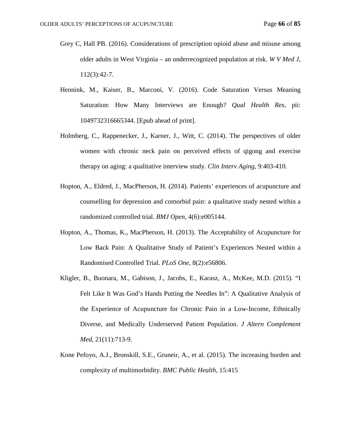- [Grey C,](https://www.ncbi.nlm.nih.gov/pubmed/?term=Grey%20C%5BAuthor%5D&cauthor=true&cauthor_uid=27301154) [Hall PB.](https://www.ncbi.nlm.nih.gov/pubmed/?term=Hall%20PB%5BAuthor%5D&cauthor=true&cauthor_uid=27301154) (2016). Considerations of prescription opioid abuse and misuse among older adults in West Virginia – an underrecognized population at risk. *W V Med J*, 112(3):42-7.
- Hennink, M., Kaiser, B., Marconi, V. (2016). Code Saturation Versus Meaning Saturation: How Many Interviews are Enough? *Qual Health Res*, pii: 1049732316665344. [Epub ahead of print].
- Holmberg, C., Rappenecker, J., Karner, J., Witt, C. (2014). The perspectives of older women with chronic neck pain on perceived effects of qigong and exercise therapy on aging: a qualitative interview study. *Clin Interv Aging*, 9:403-410.
- Hopton, A., Eldred, J., MacPherson, H. (2014). Patients' experiences of acupuncture and counselling for depression and comorbid pain: a qualitative study nested within a randomized controlled trial. *BMJ Open*, 4(6):e005144.
- Hopton, A., Thomas, K., MacPherson, H. (2013). The Acceptability of Acupuncture for Low Back Pain: A Qualitative Study of Patient's Experiences Nested within a Randomised Controlled Trial. *PLoS One*, 8(2):e56806.
- Kligler, B., Buonara, M., Gabison, J., Jacobs, E., Karasz, A., McKee, M.D. (2015). "I Felt Like It Was God's Hands Putting the Needles In": A Qualitative Analysis of the Experience of Acupuncture for Chronic Pain in a Low-Income, Ethnically Diverse, and Medically Underserved Patient Population. *J Altern Complement Med*, 21(11):713-9.
- Kone Pefoyo, A.J., Bronskill, S.E., Gruneir, A., et al. (2015). The increasing burden and complexity of multimorbidity. *BMC Public Health*, 15:415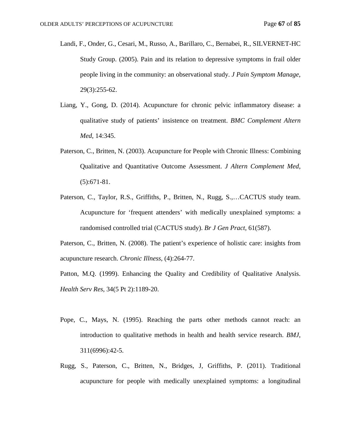- Landi, F., Onder, G., Cesari, M., Russo, A., Barillaro, C., Bernabei, R., SILVERNET-HC Study Group. (2005). Pain and its relation to depressive symptoms in frail older people living in the community: an observational study. *J Pain Symptom Manage*, 29(3):255-62.
- Liang, Y., Gong, D. (2014). Acupuncture for chronic pelvic inflammatory disease: a qualitative study of patients' insistence on treatment. *BMC Complement Altern Med*, 14:345.
- Paterson, C., Britten, N. (2003). Acupuncture for People with Chronic Illness: Combining Qualitative and Quantitative Outcome Assessment. *J Altern Complement Med*, (5):671-81.
- Paterson, C., Taylor, R.S., Griffiths, P., Britten, N., Rugg, S.,…CACTUS study team. Acupuncture for 'frequent attenders' with medically unexplained symptoms: a randomised controlled trial (CACTUS study). *Br J Gen Pract*, 61(587).

Paterson, C., Britten, N. (2008). The patient's experience of holistic care: insights from acupuncture research. *Chronic Illness*, (4):264-77.

Patton, M.Q. (1999). Enhancing the Quality and Credibility of Qualitative Analysis. *Health Serv Res*, 34(5 Pt 2):1189-20.

- Pope, C., Mays, N. (1995). Reaching the parts other methods cannot reach: an introduction to qualitative methods in health and health service research. *BMJ*, 311(6996):42-5.
- Rugg, S., Paterson, C., Britten, N., Bridges, J, Griffiths, P. (2011). Traditional acupuncture for people with medically unexplained symptoms: a longitudinal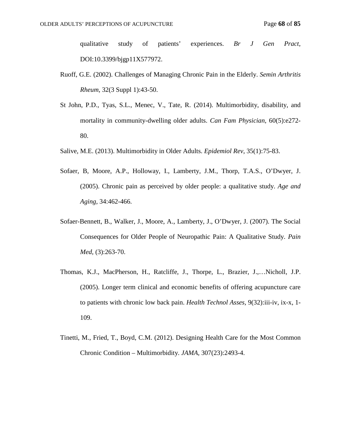qualitative study of patients' experiences. *Br J Gen Pract*, DOI:10.3399/bjgp11X577972.

- Ruoff, G.E. (2002). Challenges of Managing Chronic Pain in the Elderly. *Semin Arthritis Rheum*, 32(3 Suppl 1):43-50.
- [St John,](https://www.ncbi.nlm.nih.gov/pubmed/?term=St%20John%20PD%5BAuthor%5D&cauthor=true&cauthor_uid=24829022) P.D., [Tyas, S.L.](https://www.ncbi.nlm.nih.gov/pubmed/?term=Tyas%20SL%5BAuthor%5D&cauthor=true&cauthor_uid=24829022), [Menec, V.](https://www.ncbi.nlm.nih.gov/pubmed/?term=Menec%20V%5BAuthor%5D&cauthor=true&cauthor_uid=24829022), Tate, R. (2014). Multimorbidity, disability, and mortality in community-dwelling older adults. *Can Fam Physician*, 60(5):e272- 80.
- Salive, M.E. (2013). Multimorbidity in Older Adults. *Epidemiol Rev*, 35(1):75-83.
- Sofaer, B, Moore, A.P., Holloway, I., Lamberty, J.M., Thorp, T.A.S., O'Dwyer, J. (2005). Chronic pain as perceived by older people: a qualitative study. *Age and Aging*, 34:462-466.
- Sofaer-Bennett, B., Walker, J., Moore, A., Lamberty, J., O'Dwyer, J. (2007). The Social Consequences for Older People of Neuropathic Pain: A Qualitative Study. *Pain Med*, (3):263-70.
- [Thomas,](https://www.ncbi.nlm.nih.gov/pubmed/?term=Thomas%20KJ%5BAuthor%5D&cauthor=true&cauthor_uid=16095547) K.J., [MacPherson, H.](https://www.ncbi.nlm.nih.gov/pubmed/?term=MacPherson%20H%5BAuthor%5D&cauthor=true&cauthor_uid=16095547), [Ratcliffe, J.](https://www.ncbi.nlm.nih.gov/pubmed/?term=Ratcliffe%20J%5BAuthor%5D&cauthor=true&cauthor_uid=16095547), [Thorpe, L.](https://www.ncbi.nlm.nih.gov/pubmed/?term=Thorpe%20L%5BAuthor%5D&cauthor=true&cauthor_uid=16095547), [Brazier, J.](https://www.ncbi.nlm.nih.gov/pubmed/?term=Brazier%20J%5BAuthor%5D&cauthor=true&cauthor_uid=16095547),[…Nicholl, J.P.](https://www.ncbi.nlm.nih.gov/pubmed/?term=Nicholl%20JP%5BAuthor%5D&cauthor=true&cauthor_uid=16095547) (2005). Longer term clinical and economic benefits of offering acupuncture care to patients with chronic low back pain. *Health Technol Asses,* 9(32):iii-iv, ix-x, 1- 109.
- Tinetti, M., Fried, T., Boyd, C.M. (2012). Designing Health Care for the Most Common Chronic Condition – Multimorbidity. *JAMA*, 307(23):2493-4.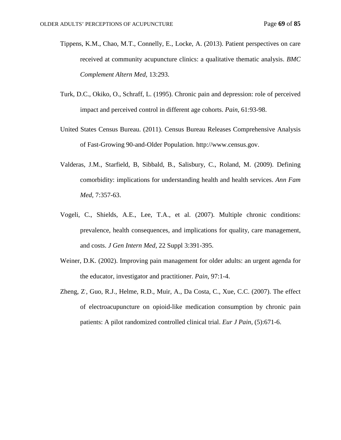- Tippens, K.M., Chao, M.T., Connelly, E., Locke, A. (2013). Patient perspectives on care received at community acupuncture clinics: a qualitative thematic analysis. *BMC Complement Altern Med,* 13:293.
- Turk, D.C., Okiko, O., Schraff, L. (1995). Chronic pain and depression: role of perceived impact and perceived control in different age cohorts. *Pain*, 61:93-98.
- United States Census Bureau. (2011). Census Bureau Releases Comprehensive Analysis of Fast-Growing 90-and-Older Population. [http://www.census.gov.](http://www.census.gov/)
- Valderas, J.M., Starfield, B, Sibbald, B., Salisbury, C., Roland, M. (2009). Defining comorbidity: implications for understanding health and health services. *Ann Fam Med*, 7:357-63.
- Vogeli, C., Shields, A.E., Lee, T.A., et al. (2007). Multiple chronic conditions: prevalence, health consequences, and implications for quality, care management, and costs. *J Gen Intern Med*, 22 Suppl 3:391-395.
- Weiner, D.K. (2002). Improving pain management for older adults: an urgent agenda for the educator, investigator and practitioner. *Pain*, 97:1-4.
- Zheng, Z, [Guo, R.J.](https://www.ncbi.nlm.nih.gov/pubmed/?term=Guo%20RJ%5BAuthor%5D&cauthor=true&cauthor_uid=18035566), [Helme, R.D.](https://www.ncbi.nlm.nih.gov/pubmed/?term=Helme%20RD%5BAuthor%5D&cauthor=true&cauthor_uid=18035566), [Muir, A.](https://www.ncbi.nlm.nih.gov/pubmed/?term=Muir%20A%5BAuthor%5D&cauthor=true&cauthor_uid=18035566), [Da Costa, C.](https://www.ncbi.nlm.nih.gov/pubmed/?term=Da%20Costa%20C%5BAuthor%5D&cauthor=true&cauthor_uid=18035566), [Xue, C.C.](https://www.ncbi.nlm.nih.gov/pubmed/?term=Xue%20CC%5BAuthor%5D&cauthor=true&cauthor_uid=18035566) (2007). The effect of electroacupuncture on opioid-like medication consumption by chronic pain patients: A pilot randomized controlled clinical trial. *Eur J Pain*, (5):671-6.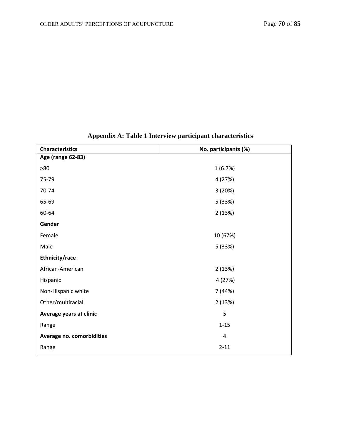| <b>Characteristics</b>    | No. participants (%) |
|---------------------------|----------------------|
| Age (range 62-83)         |                      |
| >80                       | 1(6.7%)              |
| 75-79                     | 4 (27%)              |
| 70-74                     | 3(20%)               |
| 65-69                     | 5 (33%)              |
| 60-64                     | 2(13%)               |
| Gender                    |                      |
| Female                    | 10 (67%)             |
| Male                      | 5 (33%)              |
| Ethnicity/race            |                      |
| African-American          | 2(13%)               |
| Hispanic                  | 4 (27%)              |
| Non-Hispanic white        | 7 (44%)              |
| Other/multiracial         | 2(13%)               |
| Average years at clinic   | 5                    |
| Range                     | $1 - 15$             |
| Average no. comorbidities | 4                    |
| Range                     | $2 - 11$             |

# **Appendix A: Table 1 Interview participant characteristics**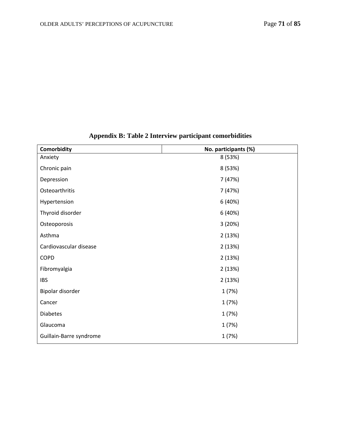| Comorbidity             | No. participants (%) |
|-------------------------|----------------------|
| Anxiety                 | 8 (53%)              |
| Chronic pain            | 8 (53%)              |
| Depression              | 7 (47%)              |
| Osteoarthritis          | 7 (47%)              |
| Hypertension            | 6 (40%)              |
| Thyroid disorder        | 6 (40%)              |
| Osteoporosis            | 3(20%)               |
| Asthma                  | 2(13%)               |
| Cardiovascular disease  | 2(13%)               |
| <b>COPD</b>             | 2(13%)               |
| Fibromyalgia            | 2(13%)               |
| <b>IBS</b>              | 2(13%)               |
| Bipolar disorder        | 1(7%)                |
| Cancer                  | 1(7%)                |
| <b>Diabetes</b>         | 1(7%)                |
| Glaucoma                | 1(7%)                |
| Guillain-Barre syndrome | 1 (7%)               |

# **Appendix B: Table 2 Interview participant comorbidities**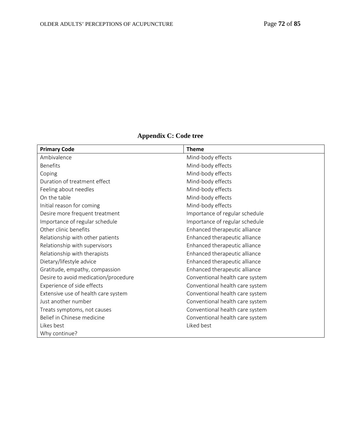| <b>Primary Code</b>                  | <b>Theme</b>                    |
|--------------------------------------|---------------------------------|
| Ambivalence                          | Mind-body effects               |
| <b>Benefits</b>                      | Mind-body effects               |
| Coping                               | Mind-body effects               |
| Duration of treatment effect         | Mind-body effects               |
| Feeling about needles                | Mind-body effects               |
| On the table                         | Mind-body effects               |
| Initial reason for coming            | Mind-body effects               |
| Desire more frequent treatment       | Importance of regular schedule  |
| Importance of regular schedule       | Importance of regular schedule  |
| Other clinic benefits                | Enhanced therapeutic alliance   |
| Relationship with other patients     | Enhanced therapeutic alliance   |
| Relationship with supervisors        | Enhanced therapeutic alliance   |
| Relationship with therapists         | Enhanced therapeutic alliance   |
| Dietary/lifestyle advice             | Enhanced therapeutic alliance   |
| Gratitude, empathy, compassion       | Enhanced therapeutic alliance   |
| Desire to avoid medication/procedure | Conventional health care system |
| Experience of side effects           | Conventional health care system |
| Extensive use of health care system  | Conventional health care system |
| Just another number                  | Conventional health care system |
| Treats symptoms, not causes          | Conventional health care system |
| Belief in Chinese medicine           | Conventional health care system |
| Likes best                           | Liked best                      |
| Why continue?                        |                                 |

# **Appendix C: Code tree**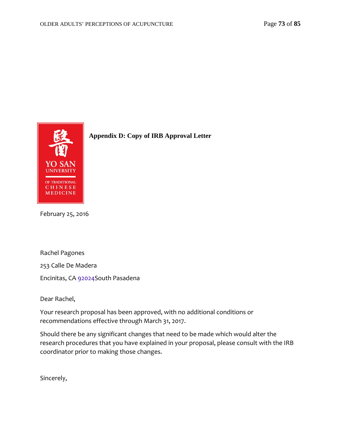

**Appendix D: Copy of IRB Approval Letter**

February 25, 2016

Rachel Pagones

253 Calle De Madera

Encinitas, CA 92024South Pasadena

Dear Rachel,

Your research proposal has been approved, with no additional conditions or recommendations effective through March 31, 2017.

Should there be any significant changes that need to be made which would alter the research procedures that you have explained in your proposal, please consult with the IRB coordinator prior to making those changes.

Sincerely,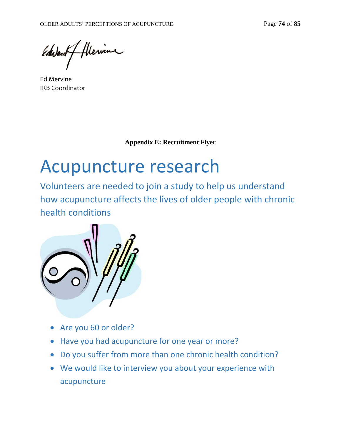flewine Edward

Ed Mervine IRB Coordinator

**Appendix E: Recruitment Flyer** 

# Acupuncture research

Volunteers are needed to join a study to help us understand how acupuncture affects the lives of older people with chronic health conditions



- Are you 60 or older?
- Have you had acupuncture for one year or more?
- Do you suffer from more than one chronic health condition?
- We would like to interview you about your experience with acupuncture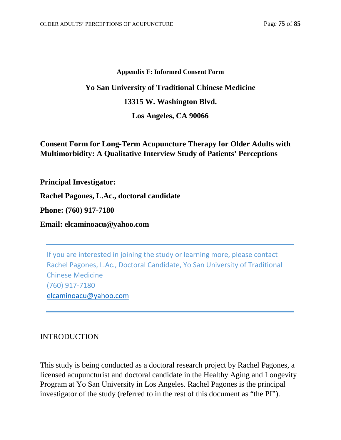#### **Appendix F: Informed Consent Form**

# **Yo San University of Traditional Chinese Medicine 13315 W. Washington Blvd. Los Angeles, CA 90066**

## **Consent Form for Long-Term Acupuncture Therapy for Older Adults with Multimorbidity: A Qualitative Interview Study of Patients' Perceptions**

**Principal Investigator:**

**Rachel Pagones, L.Ac., doctoral candidate**

**Phone: (760) 917-7180**

**Email: elcaminoacu@yahoo.com**

If you are interested in joining the study or learning more, please contact Rachel Pagones, L.Ac., Doctoral Candidate, Yo San University of Traditional Chinese Medicine (760) 917-7180 [elcaminoacu@yahoo.com](mailto:elcaminoacu@yahoo.com)

#### INTRODUCTION

This study is being conducted as a doctoral research project by Rachel Pagones, a licensed acupuncturist and doctoral candidate in the Healthy Aging and Longevity Program at Yo San University in Los Angeles. Rachel Pagones is the principal investigator of the study (referred to in the rest of this document as "the PI").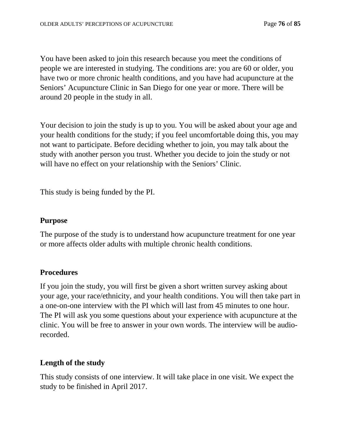You have been asked to join this research because you meet the conditions of people we are interested in studying. The conditions are: you are 60 or older, you have two or more chronic health conditions, and you have had acupuncture at the Seniors' Acupuncture Clinic in San Diego for one year or more. There will be around 20 people in the study in all.

Your decision to join the study is up to you. You will be asked about your age and your health conditions for the study; if you feel uncomfortable doing this, you may not want to participate. Before deciding whether to join, you may talk about the study with another person you trust. Whether you decide to join the study or not will have no effect on your relationship with the Seniors' Clinic.

This study is being funded by the PI.

#### **Purpose**

The purpose of the study is to understand how acupuncture treatment for one year or more affects older adults with multiple chronic health conditions.

## **Procedures**

If you join the study, you will first be given a short written survey asking about your age, your race/ethnicity, and your health conditions. You will then take part in a one-on-one interview with the PI which will last from 45 minutes to one hour. The PI will ask you some questions about your experience with acupuncture at the clinic. You will be free to answer in your own words. The interview will be audiorecorded.

## **Length of the study**

This study consists of one interview. It will take place in one visit. We expect the study to be finished in April 2017.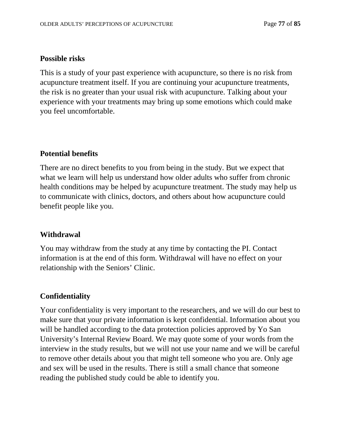#### **Possible risks**

This is a study of your past experience with acupuncture, so there is no risk from acupuncture treatment itself. If you are continuing your acupuncture treatments, the risk is no greater than your usual risk with acupuncture. Talking about your experience with your treatments may bring up some emotions which could make you feel uncomfortable.

#### **Potential benefits**

There are no direct benefits to you from being in the study. But we expect that what we learn will help us understand how older adults who suffer from chronic health conditions may be helped by acupuncture treatment. The study may help us to communicate with clinics, doctors, and others about how acupuncture could benefit people like you.

#### **Withdrawal**

You may withdraw from the study at any time by contacting the PI. Contact information is at the end of this form. Withdrawal will have no effect on your relationship with the Seniors' Clinic.

## **Confidentiality**

Your confidentiality is very important to the researchers, and we will do our best to make sure that your private information is kept confidential. Information about you will be handled according to the data protection policies approved by Yo San University's Internal Review Board. We may quote some of your words from the interview in the study results, but we will not use your name and we will be careful to remove other details about you that might tell someone who you are. Only age and sex will be used in the results. There is still a small chance that someone reading the published study could be able to identify you.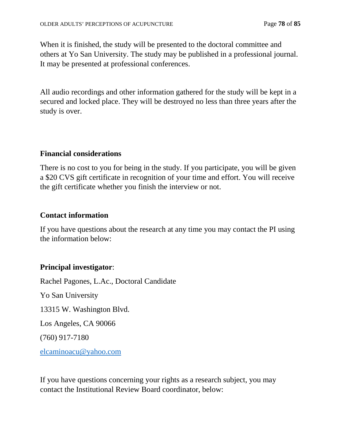When it is finished, the study will be presented to the doctoral committee and others at Yo San University. The study may be published in a professional journal. It may be presented at professional conferences.

All audio recordings and other information gathered for the study will be kept in a secured and locked place. They will be destroyed no less than three years after the study is over.

## **Financial considerations**

There is no cost to you for being in the study. If you participate, you will be given a \$20 CVS gift certificate in recognition of your time and effort. You will receive the gift certificate whether you finish the interview or not.

#### **Contact information**

If you have questions about the research at any time you may contact the PI using the information below:

## **Principal investigator**:

Rachel Pagones, L.Ac., Doctoral Candidate Yo San University 13315 W. Washington Blvd. Los Angeles, CA 90066 (760) 917-7180 [elcaminoacu@yahoo.com](mailto:elcaminoacu@yahoo.com)

If you have questions concerning your rights as a research subject, you may contact the Institutional Review Board coordinator, below: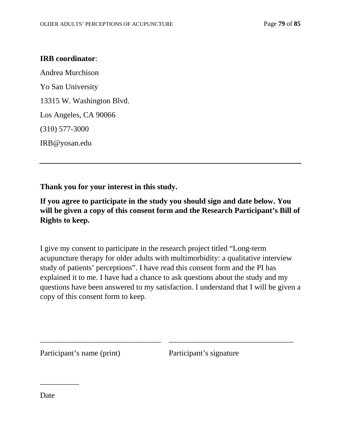#### **IRB coordinator**:

Andrea Murchison Yo San University 13315 W. Washington Blvd. Los Angeles, CA 90066 (310) 577-3000 IRB@yosan.edu

**Thank you for your interest in this study.** 

**If you agree to participate in the study you should sign and date below. You will be given a copy of this consent form and the Research Participant's Bill of Rights to keep.**

I give my consent to participate in the research project titled "Long-term acupuncture therapy for older adults with multimorbidity: a qualitative interview study of patients' perceptions". I have read this consent form and the PI has explained it to me. I have had a chance to ask questions about the study and my questions have been answered to my satisfaction. I understand that I will be given a copy of this consent form to keep.

\_\_\_\_\_\_\_\_\_\_\_\_\_\_\_\_\_\_\_\_\_\_\_\_\_\_\_\_\_\_\_ \_\_\_\_\_\_\_\_\_\_\_\_\_\_\_\_\_\_\_\_\_\_\_\_\_\_\_\_\_\_\_\_

Participant's name (print) Participant's signature

Date

\_\_\_\_\_\_\_\_\_\_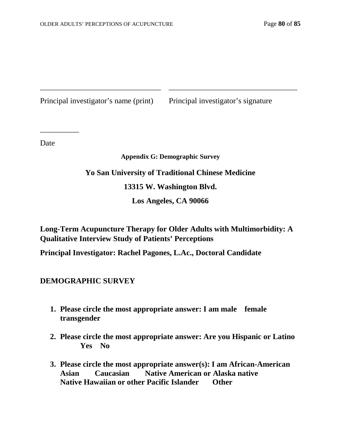Principal investigator's name (print) Principal investigator's signature

Date

\_\_\_\_\_\_\_\_\_\_

#### **Appendix G: Demographic Survey**

\_\_\_\_\_\_\_\_\_\_\_\_\_\_\_\_\_\_\_\_\_\_\_\_\_\_\_\_\_\_\_ \_\_\_\_\_\_\_\_\_\_\_\_\_\_\_\_\_\_\_\_\_\_\_\_\_\_\_\_\_\_\_\_\_

# **Yo San University of Traditional Chinese Medicine 13315 W. Washington Blvd.**

**Los Angeles, CA 90066**

**Long-Term Acupuncture Therapy for Older Adults with Multimorbidity: A Qualitative Interview Study of Patients' Perceptions**

**Principal Investigator: Rachel Pagones, L.Ac., Doctoral Candidate**

**DEMOGRAPHIC SURVEY**

- **1. Please circle the most appropriate answer: I am male female transgender**
- **2. Please circle the most appropriate answer: Are you Hispanic or Latino Yes No**
- **3. Please circle the most appropriate answer(s): I am African-American Asian Caucasian Native American or Alaska native Native Hawaiian or other Pacific Islander Other**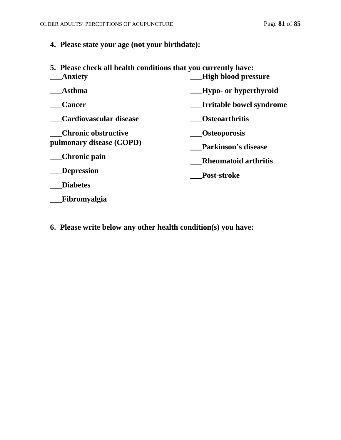## **4. Please state your age (not your birthdate):**

| 5. Please check all health conditions that you currently have: |                             |
|----------------------------------------------------------------|-----------------------------|
| <b>Anxiety</b>                                                 | <b>High blood pressure</b>  |
| <b>Asthma</b>                                                  | Hypo- or hyperthyroid       |
| <b>Cancer</b>                                                  | Irritable bowel syndrome    |
| Cardiovascular disease                                         | <b>Osteoarthritis</b>       |
| <b>Chronic obstructive</b>                                     | <b>Osteoporosis</b>         |
| pulmonary disease (COPD)                                       | <b>Parkinson's disease</b>  |
| Chronic pain                                                   | <b>Rheumatoid arthritis</b> |
| <b>Depression</b>                                              | Post-stroke                 |
| <b>Diabetes</b>                                                |                             |
| Fibromyalgia                                                   |                             |

**6. Please write below any other health condition(s) you have:**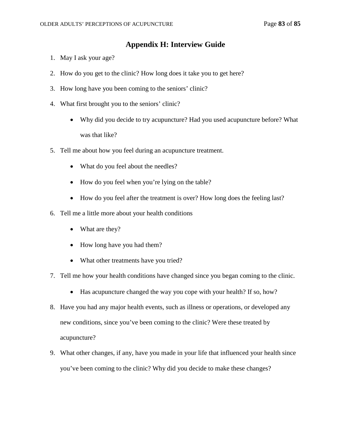#### **Appendix H: Interview Guide**

- 1. May I ask your age?
- 2. How do you get to the clinic? How long does it take you to get here?
- 3. How long have you been coming to the seniors' clinic?
- 4. What first brought you to the seniors' clinic?
	- Why did you decide to try acupuncture? Had you used acupuncture before? What was that like?
- 5. Tell me about how you feel during an acupuncture treatment.
	- What do you feel about the needles?
	- How do you feel when you're lying on the table?
	- How do you feel after the treatment is over? How long does the feeling last?
- 6. Tell me a little more about your health conditions
	- What are they?
	- How long have you had them?
	- What other treatments have you tried?
- 7. Tell me how your health conditions have changed since you began coming to the clinic.
	- Has acupuncture changed the way you cope with your health? If so, how?
- 8. Have you had any major health events, such as illness or operations, or developed any new conditions, since you've been coming to the clinic? Were these treated by acupuncture?
- 9. What other changes, if any, have you made in your life that influenced your health since you've been coming to the clinic? Why did you decide to make these changes?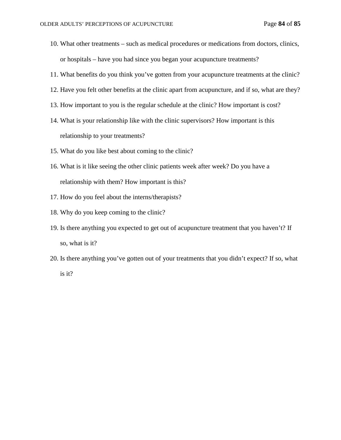- 10. What other treatments such as medical procedures or medications from doctors, clinics, or hospitals – have you had since you began your acupuncture treatments?
- 11. What benefits do you think you've gotten from your acupuncture treatments at the clinic?
- 12. Have you felt other benefits at the clinic apart from acupuncture, and if so, what are they?
- 13. How important to you is the regular schedule at the clinic? How important is cost?
- 14. What is your relationship like with the clinic supervisors? How important is this relationship to your treatments?
- 15. What do you like best about coming to the clinic?
- 16. What is it like seeing the other clinic patients week after week? Do you have a relationship with them? How important is this?
- 17. How do you feel about the interns/therapists?
- 18. Why do you keep coming to the clinic?
- 19. Is there anything you expected to get out of acupuncture treatment that you haven't? If so, what is it?
- 20. Is there anything you've gotten out of your treatments that you didn't expect? If so, what is it?